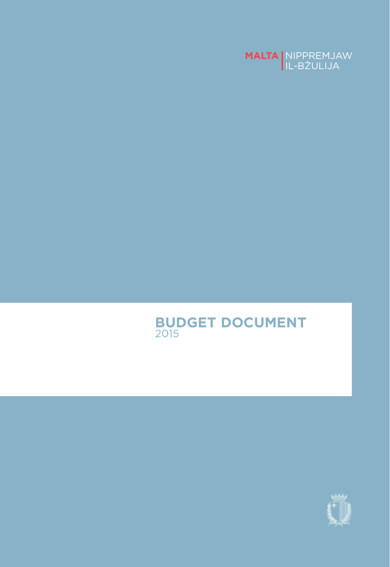

#### **BUDGET DOCUMENT** 2015

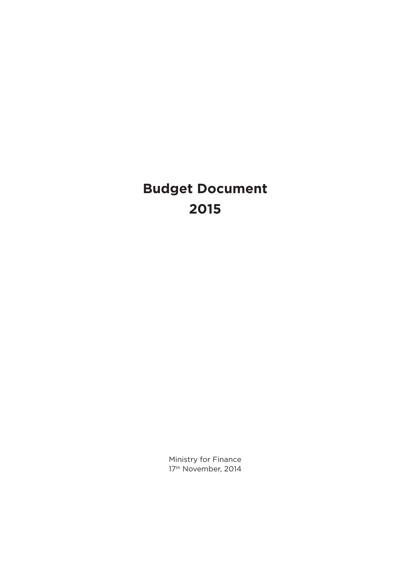# **Budget Document 2015**

Ministry for Finance 17<sup>th</sup> November, 2014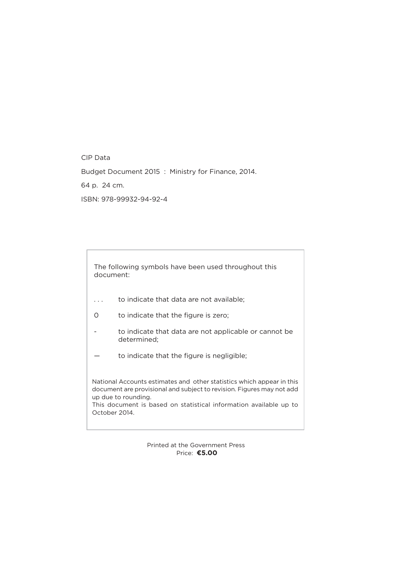CIP Data

Budget Document 2015 : Ministry for Finance, 2014.

64 p. 24 cm.

ISBN: 978-99932-94-92-4

The following symbols have been used throughout this document:

- . . . to indicate that data are not available;
- 0 to indicate that the figure is zero;
- to indicate that data are not applicable or cannot be determined;
- to indicate that the figure is negligible;

National Accounts estimates and other statistics which appear in this document are provisional and subject to revision. Figures may not add up due to rounding. This document is based on statistical information available up to October 2014.

> Printed at the Government Press Price: **€5.00**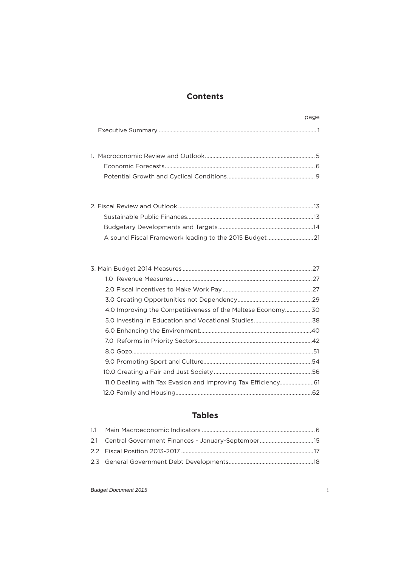#### **Contents**

| 4.0 Improving the Competitiveness of the Maltese Economy 30  |  |
|--------------------------------------------------------------|--|
|                                                              |  |
|                                                              |  |
|                                                              |  |
|                                                              |  |
|                                                              |  |
|                                                              |  |
| 11.0 Dealing with Tax Evasion and Improving Tax Efficiency61 |  |
|                                                              |  |

#### **Tables**

page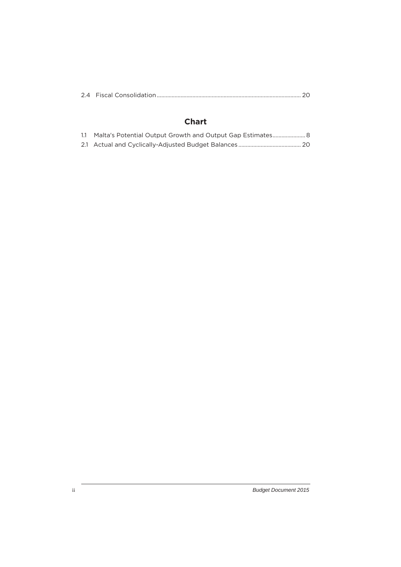|--|--|--|

#### **Chart**

| 1.1 Malta's Potential Output Growth and Output Gap Estimates 8 |
|----------------------------------------------------------------|
|                                                                |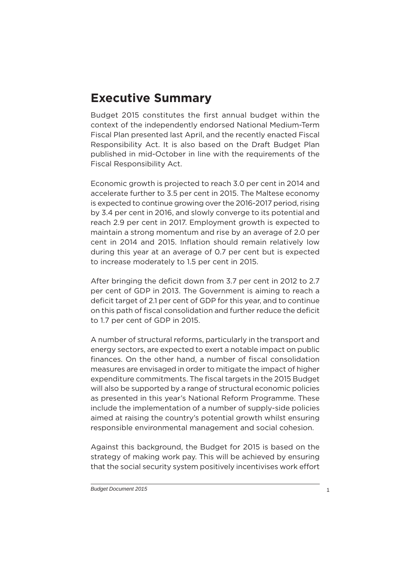# **Executive Summary**

Budget 2015 constitutes the first annual budget within the context of the independently endorsed National Medium-Term Fiscal Plan presented last April, and the recently enacted Fiscal Responsibility Act. It is also based on the Draft Budget Plan published in mid-October in line with the requirements of the Fiscal Responsibility Act.

Economic growth is projected to reach 3.0 per cent in 2014 and accelerate further to 3.5 per cent in 2015. The Maltese economy is expected to continue growing over the 2016-2017 period, rising by 3.4 per cent in 2016, and slowly converge to its potential and reach 2.9 per cent in 2017. Employment growth is expected to maintain a strong momentum and rise by an average of 2.0 per cent in 2014 and 2015. Inflation should remain relatively low during this year at an average of 0.7 per cent but is expected to increase moderately to 1.5 per cent in 2015.

After bringing the deficit down from 3.7 per cent in 2012 to 2.7 per cent of GDP in 2013. The Government is aiming to reach a deficit target of 2.1 per cent of GDP for this year, and to continue on this path of fiscal consolidation and further reduce the deficit to 1.7 per cent of GDP in 2015.

A number of structural reforms, particularly in the transport and energy sectors, are expected to exert a notable impact on public finances. On the other hand, a number of fiscal consolidation measures are envisaged in order to mitigate the impact of higher expenditure commitments. The fiscal targets in the 2015 Budget will also be supported by a range of structural economic policies as presented in this year's National Reform Programme. These include the implementation of a number of supply-side policies aimed at raising the country's potential growth whilst ensuring responsible environmental management and social cohesion.

Against this background, the Budget for 2015 is based on the strategy of making work pay. This will be achieved by ensuring that the social security system positively incentivises work effort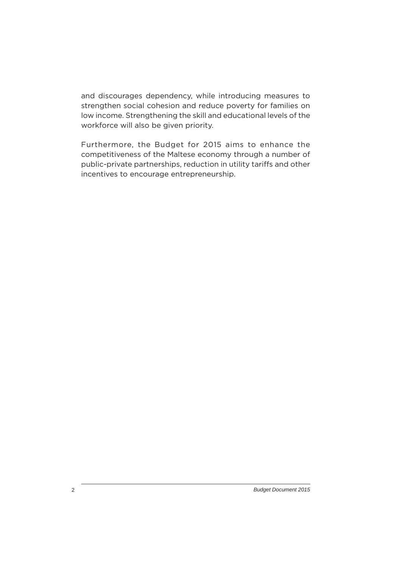and discourages dependency, while introducing measures to strengthen social cohesion and reduce poverty for families on low income. Strengthening the skill and educational levels of the workforce will also be given priority.

Furthermore, the Budget for 2015 aims to enhance the competitiveness of the Maltese economy through a number of public-private partnerships, reduction in utility tariffs and other incentives to encourage entrepreneurship.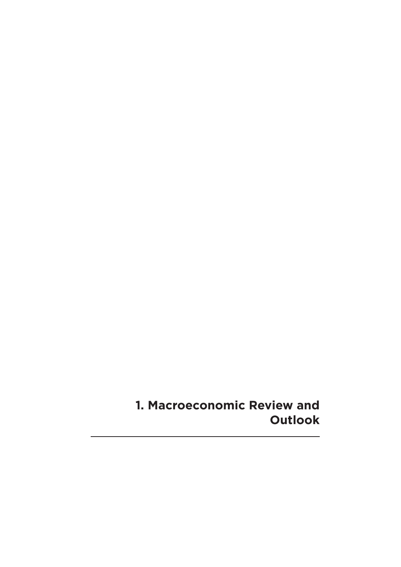**1. Macroeconomic Review and Outlook**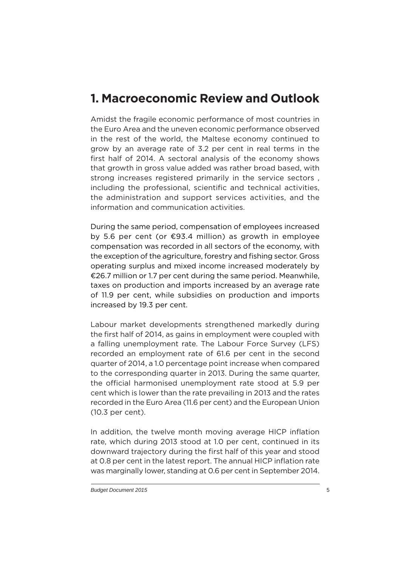# **1. Macroeconomic Review and Outlook**

Amidst the fragile economic performance of most countries in the Euro Area and the uneven economic performance observed in the rest of the world, the Maltese economy continued to grow by an average rate of 3.2 per cent in real terms in the first half of 2014. A sectoral analysis of the economy shows that growth in gross value added was rather broad based, with strong increases registered primarily in the service sectors , including the professional, scientific and technical activities, the administration and support services activities, and the information and communication activities.

During the same period, compensation of employees increased by 5.6 per cent (or €93.4 million) as growth in employee compensation was recorded in all sectors of the economy, with the exception of the agriculture, forestry and fishing sector. Gross operating surplus and mixed income increased moderately by €26.7 million or 1.7 per cent during the same period. Meanwhile, taxes on production and imports increased by an average rate of 11.9 per cent, while subsidies on production and imports increased by 19.3 per cent.

Labour market developments strengthened markedly during the first half of 2014, as gains in employment were coupled with a falling unemployment rate. The Labour Force Survey (LFS) recorded an employment rate of 61.6 per cent in the second quarter of 2014, a 1.0 percentage point increase when compared to the corresponding quarter in 2013. During the same quarter, the official harmonised unemployment rate stood at 5.9 per cent which is lower than the rate prevailing in 2013 and the rates recorded in the Euro Area (11.6 per cent) and the European Union (10.3 per cent).

In addition, the twelve month moving average HICP inflation rate, which during 2013 stood at 1.0 per cent, continued in its downward trajectory during the first half of this year and stood at 0.8 per cent in the latest report. The annual HICP inflation rate was marginally lower, standing at 0.6 per cent in September 2014.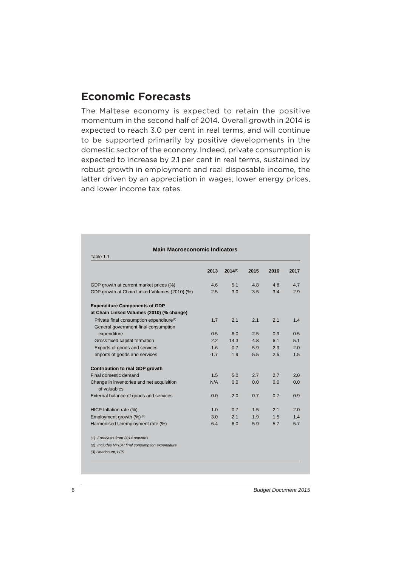#### **Economic Forecasts**

The Maltese economy is expected to retain the positive momentum in the second half of 2014. Overall growth in 2014 is expected to reach 3.0 per cent in real terms, and will continue to be supported primarily by positive developments in the domestic sector of the economy. Indeed, private consumption is expected to increase by 2.1 per cent in real terms, sustained by robust growth in employment and real disposable income, the latter driven by an appreciation in wages, lower energy prices, and lower income tax rates.

| Table 1.1                                                 |        |              |      |      |      |  |  |  |  |  |
|-----------------------------------------------------------|--------|--------------|------|------|------|--|--|--|--|--|
|                                                           | 2013   | $2014^{(1)}$ | 2015 | 2016 | 2017 |  |  |  |  |  |
| GDP growth at current market prices (%)                   | 4.6    | 5.1          | 4.8  | 4.8  | 4.7  |  |  |  |  |  |
| GDP growth at Chain Linked Volumes (2010) (%)             | 2.5    | 3.0          | 3.5  | 3.4  | 2.9  |  |  |  |  |  |
| <b>Expenditure Components of GDP</b>                      |        |              |      |      |      |  |  |  |  |  |
| at Chain Linked Volumes (2010) (% change)                 |        |              |      |      |      |  |  |  |  |  |
| Private final consumption expenditure <sup>(2)</sup>      | 1.7    | 2.1          | 2.1  | 2.1  | 1.4  |  |  |  |  |  |
| General government final consumption                      |        |              |      |      |      |  |  |  |  |  |
| expenditure                                               | 0.5    | 6.0          | 2.5  | 0.9  | 0.5  |  |  |  |  |  |
| Gross fixed capital formation                             | 2.2    | 14.3         | 4.8  | 6.1  | 5.1  |  |  |  |  |  |
| Exports of goods and services                             | $-1.6$ | 0.7          | 5.9  | 2.9  | 2.0  |  |  |  |  |  |
| Imports of goods and services                             | $-1.7$ | 1.9          | 5.5  | 2.5  | 1.5  |  |  |  |  |  |
| Contribution to real GDP growth                           |        |              |      |      |      |  |  |  |  |  |
| Final domestic demand                                     | 1.5    | 5.0          | 2.7  | 2.7  | 2.0  |  |  |  |  |  |
| Change in inventories and net acquisition<br>of valuables | N/A    | 0.0          | 0.0  | 0.0  | 0.0  |  |  |  |  |  |
| External balance of goods and services                    | $-0.0$ | $-2.0$       | 0.7  | 0.7  | 0.9  |  |  |  |  |  |
| HICP Inflation rate (%)                                   | 1.0    | 0.7          | 1.5  | 2.1  | 2.0  |  |  |  |  |  |
| Employment growth (%) (3)                                 | 3.0    | 2.1          | 1.9  | 1.5  | 1.4  |  |  |  |  |  |
| Harmonised Unemployment rate (%)                          | 6.4    | 6.0          | 5.9  | 5.7  | 5.7  |  |  |  |  |  |
| (1) Forecasts from 2014 onwards                           |        |              |      |      |      |  |  |  |  |  |
| (2) Includes NPISH final consumption expenditure          |        |              |      |      |      |  |  |  |  |  |
| (3) Headcount, LFS                                        |        |              |      |      |      |  |  |  |  |  |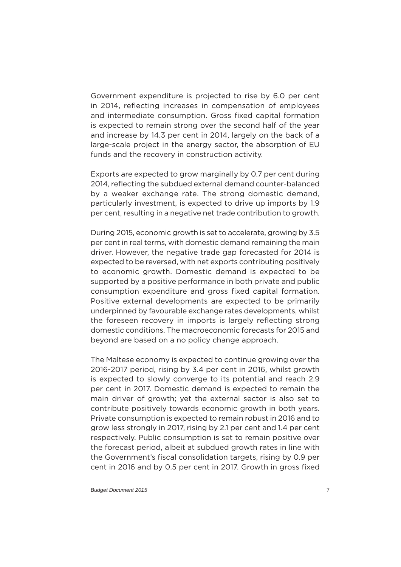Government expenditure is projected to rise by 6.0 per cent in 2014, reflecting increases in compensation of employees and intermediate consumption. Gross fixed capital formation is expected to remain strong over the second half of the year and increase by 14.3 per cent in 2014, largely on the back of a large-scale project in the energy sector, the absorption of EU funds and the recovery in construction activity.

Exports are expected to grow marginally by 0.7 per cent during 2014, reflecting the subdued external demand counter-balanced by a weaker exchange rate. The strong domestic demand, particularly investment, is expected to drive up imports by 1.9 per cent, resulting in a negative net trade contribution to growth.

During 2015, economic growth is set to accelerate, growing by 3.5 per cent in real terms, with domestic demand remaining the main driver. However, the negative trade gap forecasted for 2014 is expected to be reversed, with net exports contributing positively to economic growth. Domestic demand is expected to be supported by a positive performance in both private and public consumption expenditure and gross fixed capital formation. Positive external developments are expected to be primarily underpinned by favourable exchange rates developments, whilst the foreseen recovery in imports is largely reflecting strong domestic conditions. The macroeconomic forecasts for 2015 and beyond are based on a no policy change approach.

The Maltese economy is expected to continue growing over the 2016-2017 period, rising by 3.4 per cent in 2016, whilst growth is expected to slowly converge to its potential and reach 2.9 per cent in 2017. Domestic demand is expected to remain the main driver of growth; yet the external sector is also set to contribute positively towards economic growth in both years. Private consumption is expected to remain robust in 2016 and to grow less strongly in 2017, rising by 2.1 per cent and 1.4 per cent respectively. Public consumption is set to remain positive over the forecast period, albeit at subdued growth rates in line with the Government's fiscal consolidation targets, rising by 0.9 per cent in 2016 and by 0.5 per cent in 2017. Growth in gross fixed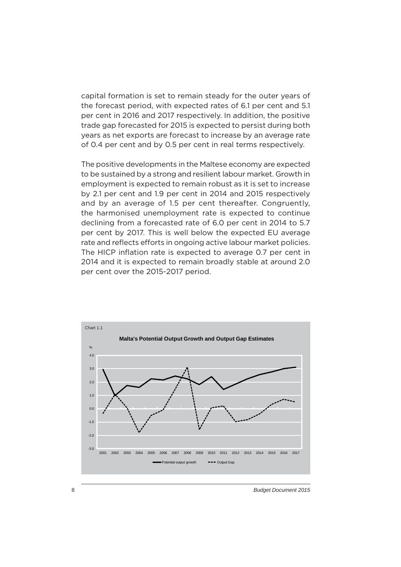capital formation is set to remain steady for the outer years of the forecast period, with expected rates of 6.1 per cent and 5.1 per cent in 2016 and 2017 respectively. In addition, the positive trade gap forecasted for 2015 is expected to persist during both years as net exports are forecast to increase by an average rate of 0.4 per cent and by 0.5 per cent in real terms respectively.

The positive developments in the Maltese economy are expected to be sustained by a strong and resilient labour market. Growth in employment is expected to remain robust as it is set to increase by 2.1 per cent and 1.9 per cent in 2014 and 2015 respectively and by an average of 1.5 per cent thereafter. Congruently, the harmonised unemployment rate is expected to continue declining from a forecasted rate of 6.0 per cent in 2014 to 5.7 per cent by 2017. This is well below the expected EU average rate and reflects efforts in ongoing active labour market policies. The HICP inflation rate is expected to average 0.7 per cent in 2014 and it is expected to remain broadly stable at around 2.0 per cent over the 2015-2017 period.

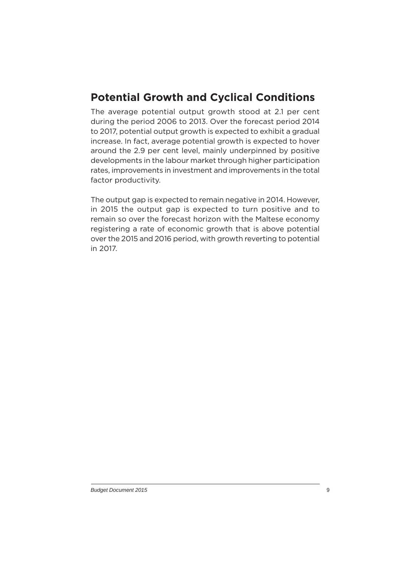# **Potential Growth and Cyclical Conditions**

The average potential output growth stood at 2.1 per cent during the period 2006 to 2013. Over the forecast period 2014 to 2017, potential output growth is expected to exhibit a gradual increase. In fact, average potential growth is expected to hover around the 2.9 per cent level, mainly underpinned by positive developments in the labour market through higher participation rates, improvements in investment and improvements in the total factor productivity.

The output gap is expected to remain negative in 2014. However, in 2015 the output gap is expected to turn positive and to remain so over the forecast horizon with the Maltese economy registering a rate of economic growth that is above potential over the 2015 and 2016 period, with growth reverting to potential in 2017.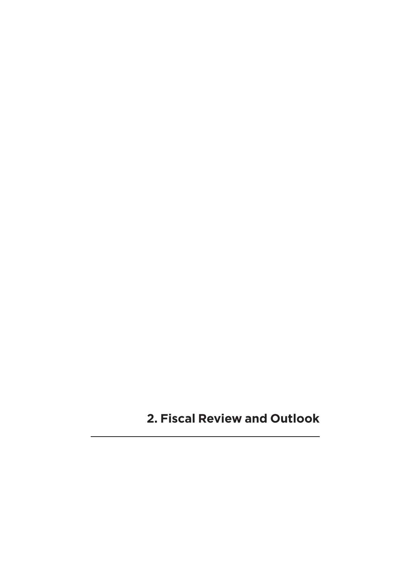**2. Fiscal Review and Outlook**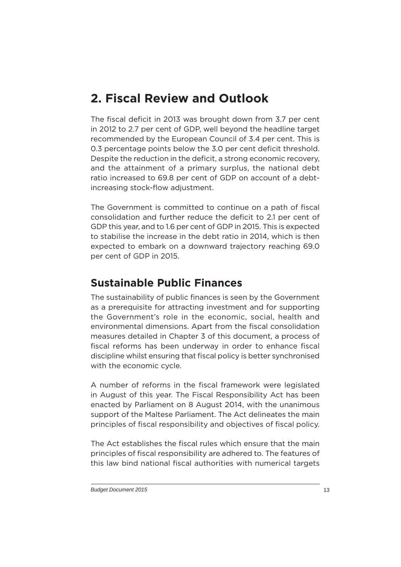# **2. Fiscal Review and Outlook**

The fiscal deficit in 2013 was brought down from 3.7 per cent in 2012 to 2.7 per cent of GDP, well beyond the headline target recommended by the European Council of 3.4 per cent. This is 0.3 percentage points below the 3.0 per cent deficit threshold. Despite the reduction in the deficit, a strong economic recovery, and the attainment of a primary surplus, the national debt ratio increased to 69.8 per cent of GDP on account of a debtincreasing stock-flow adjustment.

The Government is committed to continue on a path of fiscal consolidation and further reduce the deficit to 2.1 per cent of GDP this year, and to 1.6 per cent of GDP in 2015. This is expected to stabilise the increase in the debt ratio in 2014, which is then expected to embark on a downward trajectory reaching 69.0 per cent of GDP in 2015.

# **Sustainable Public Finances**

The sustainability of public finances is seen by the Government as a prerequisite for attracting investment and for supporting the Government's role in the economic, social, health and environmental dimensions. Apart from the fiscal consolidation measures detailed in Chapter 3 of this document, a process of fiscal reforms has been underway in order to enhance fiscal discipline whilst ensuring that fiscal policy is better synchronised with the economic cycle.

A number of reforms in the fiscal framework were legislated in August of this year. The Fiscal Responsibility Act has been enacted by Parliament on 8 August 2014, with the unanimous support of the Maltese Parliament. The Act delineates the main principles of fiscal responsibility and objectives of fiscal policy.

The Act establishes the fiscal rules which ensure that the main principles of fiscal responsibility are adhered to. The features of this law bind national fiscal authorities with numerical targets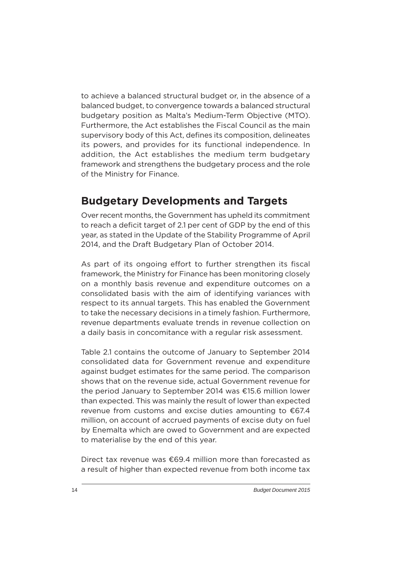to achieve a balanced structural budget or, in the absence of a balanced budget, to convergence towards a balanced structural budgetary position as Malta's Medium-Term Objective (MTO). Furthermore, the Act establishes the Fiscal Council as the main supervisory body of this Act, defines its composition, delineates its powers, and provides for its functional independence. In addition, the Act establishes the medium term budgetary framework and strengthens the budgetary process and the role of the Ministry for Finance.

# **Budgetary Developments and Targets**

Over recent months, the Government has upheld its commitment to reach a deficit target of 2.1 per cent of GDP by the end of this year, as stated in the Update of the Stability Programme of April 2014, and the Draft Budgetary Plan of October 2014.

As part of its ongoing effort to further strengthen its fiscal framework, the Ministry for Finance has been monitoring closely on a monthly basis revenue and expenditure outcomes on a consolidated basis with the aim of identifying variances with respect to its annual targets. This has enabled the Government to take the necessary decisions in a timely fashion. Furthermore, revenue departments evaluate trends in revenue collection on a daily basis in concomitance with a regular risk assessment.

Table 2.1 contains the outcome of January to September 2014 consolidated data for Government revenue and expenditure against budget estimates for the same period. The comparison shows that on the revenue side, actual Government revenue for the period January to September 2014 was €15.6 million lower than expected. This was mainly the result of lower than expected revenue from customs and excise duties amounting to €67.4 million, on account of accrued payments of excise duty on fuel by Enemalta which are owed to Government and are expected to materialise by the end of this year.

Direct tax revenue was €69.4 million more than forecasted as a result of higher than expected revenue from both income tax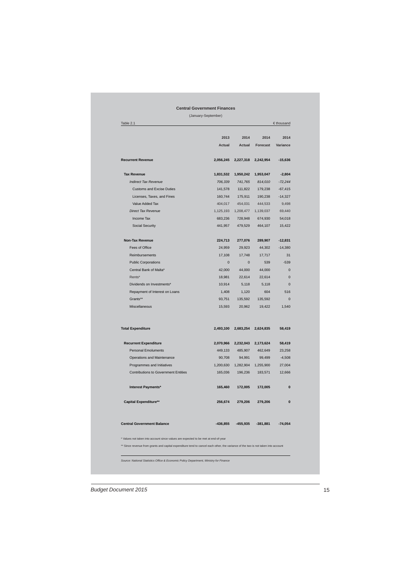#### **Central Government Finances**

(January-September)

|                          |                                                                                    | 2013       | 2014          | 2014       | 2014      |
|--------------------------|------------------------------------------------------------------------------------|------------|---------------|------------|-----------|
|                          |                                                                                    | Actual     | <b>Actual</b> | Forecast   | Variance  |
|                          | <b>Recurrent Revenue</b>                                                           | 2,056,245  | 2,227,318     | 2,242,954  | $-15,636$ |
| <b>Tax Revenue</b>       |                                                                                    | 1,831,532  | 1,950,242     | 1,953,047  | $-2,804$  |
|                          | <b>Indirect Tax Revenue</b>                                                        | 706,339    | 741,765       | 814,010    | $-72,244$ |
|                          | <b>Customs and Excise Duties</b>                                                   | 141,578    | 111,822       | 179,238    | $-67,415$ |
|                          | Licenses, Taxes, and Fines                                                         | 160,744    | 175,911       | 190,238    | $-14,327$ |
|                          | Value Added Tax                                                                    | 404,017    | 454,031       | 444,533    | 9,498     |
|                          | <b>Direct Tax Revenue</b>                                                          | 1,125,193  | 1,208,477     | 1,139,037  | 69,440    |
|                          | Income Tax                                                                         | 683,236    | 728,948       | 674,930    | 54,018    |
|                          | <b>Social Security</b>                                                             | 441,957    | 479,529       | 464,107    | 15,422    |
|                          | <b>Non-Tax Revenue</b>                                                             | 224,713    | 277,076       | 289,907    | $-12,831$ |
|                          | Fees of Office                                                                     | 24,959     | 29,923        | 44,302     | $-14,380$ |
|                          | <b>Reimbursements</b>                                                              | 17.108     | 17,748        | 17,717     |           |
|                          | <b>Public Corporations</b>                                                         | $\Omega$   | $\Omega$      | 539        | $-539$    |
|                          | Central Bank of Malta*                                                             | 42,000     | 44,000        | 44.000     |           |
| Rents*                   |                                                                                    | 18,981     | 22,614        | 22,614     |           |
|                          | Dividends on Investments*                                                          | 10,914     | 5,118         | 5,118      |           |
|                          | Repayment of Interest on Loans                                                     | 1,408      | 1,120         | 604        | 516       |
|                          | Grants**                                                                           | 93.751     | 135,592       | 135,592    |           |
|                          | Miscellaneous                                                                      | 15,593     | 20,962        | 19,422     | 1,540     |
| <b>Total Expenditure</b> |                                                                                    | 2,493,100  | 2,683,254     | 2,624,835  | 58,419    |
|                          | <b>Recurrent Expenditure</b>                                                       | 2,070,966  | 2,232,043     | 2,173,624  | 58,419    |
|                          | <b>Personal Emoluments</b>                                                         | 449,133    | 485,907       | 462,649    | 23,258    |
|                          | Operations and Maintenance                                                         | 90,708     | 94,991        | 99,499     | $-4,508$  |
|                          | Programmes and Initiatives                                                         | 1,200,630  | 1,282,904     | 1,255,900  | 27,004    |
|                          | <b>Contributions to Government Entities</b>                                        | 165,036    | 196,236       | 183,571    | 12,666    |
|                          | <b>Interest Payments*</b>                                                          | 165,460    | 172,005       | 172,005    |           |
|                          | <b>Capital Expenditure**</b>                                                       | 256,674    | 279,206       | 279,206    |           |
|                          | <b>Central Government Balance</b>                                                  | $-436,855$ | $-455,935$    | $-381,881$ | $-74,054$ |
|                          | * Values not taken into account since values are expected to be met at end-of-year |            |               |            |           |

*Source: National Statistics Offi ce & Economic Policy Department, Ministry for Finance*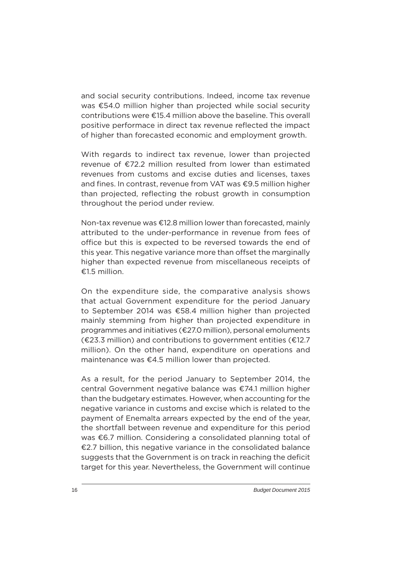and social security contributions. Indeed, income tax revenue was €54.0 million higher than projected while social security contributions were €15.4 million above the baseline. This overall positive performace in direct tax revenue reflected the impact of higher than forecasted economic and employment growth.

With regards to indirect tax revenue, lower than projected revenue of €72.2 million resulted from lower than estimated revenues from customs and excise duties and licenses, taxes and fines. In contrast, revenue from VAT was €9.5 million higher than projected, reflecting the robust growth in consumption throughout the period under review.

Non-tax revenue was €12.8 million lower than forecasted, mainly attributed to the under-performance in revenue from fees of office but this is expected to be reversed towards the end of this year. This negative variance more than offset the marginally higher than expected revenue from miscellaneous receipts of €1.5 million.

On the expenditure side, the comparative analysis shows that actual Government expenditure for the period January to September 2014 was €58.4 million higher than projected mainly stemming from higher than projected expenditure in programmes and initiatives (€27.0 million), personal emoluments  $(\text{\textsterling}23.3 \text{ million})$  and contributions to government entities ( $\text{\textsterling}12.7$ ) million). On the other hand, expenditure on operations and maintenance was €4.5 million lower than projected.

As a result, for the period January to September 2014, the central Government negative balance was €74.1 million higher than the budgetary estimates. However, when accounting for the negative variance in customs and excise which is related to the payment of Enemalta arrears expected by the end of the year, the shortfall between revenue and expenditure for this period was €6.7 million. Considering a consolidated planning total of €2.7 billion, this negative variance in the consolidated balance suggests that the Government is on track in reaching the deficit target for this year. Nevertheless, the Government will continue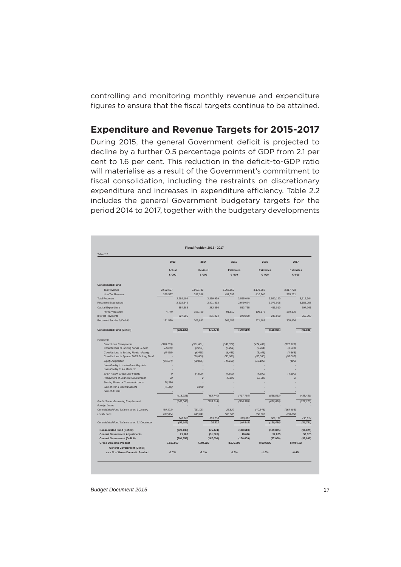controlling and monitoring monthly revenue and expenditure figures to ensure that the fiscal targets continue to be attained.

#### **Expenditure and Revenue Targets for 2015-2017**

During 2015, the general Government deficit is projected to decline by a further 0.5 percentage points of GDP from 2.1 per cent to 1.6 per cent. This reduction in the deficit-to-GDP ratio will materialise as a result of the Government's commitment to fiscal consolidation, including the restraints on discretionary expenditure and increases in expenditure efficiency. Table 2.2 includes the general Government budgetary targets for the period 2014 to 2017, together with the budgetary developments

| Table 2.2                                   |                  |            |                         | Fiscal Position 2013 - 2017 |                           |            |                           |            |                           |            |
|---------------------------------------------|------------------|------------|-------------------------|-----------------------------|---------------------------|------------|---------------------------|------------|---------------------------|------------|
|                                             | 2013             |            | 2014                    |                             | 2015                      |            | 2016                      |            | 2017                      |            |
|                                             | Actual<br>€'000  |            | <b>Revised</b><br>€'000 |                             | <b>Estimates</b><br>€'000 |            | <b>Estimates</b><br>€'000 |            | <b>Estimates</b><br>€'000 |            |
| <b>Consolidated Fund</b>                    |                  |            |                         |                             |                           |            |                           |            |                           |            |
| <b>Tax Revenue</b>                          | 2.602.507        |            | 2.962.733               |                             | 3.063.650                 |            | 3.179.950                 |            | 3.317.723                 |            |
| Non-Tax Revenue                             | 389,597          |            | 397,206                 |                             | 491,399                   |            | 410,240                   |            | 395,271                   |            |
| <b>Total Revenue</b>                        |                  | 2,992,104  |                         | 3,359,939                   |                           | 3,555,049  |                           | 3,590,190  |                           | 3,712,994  |
| <b>Recurrent Expenditure</b>                |                  | 2.632.649  |                         | 2.821.833                   |                           | 2.949.674  |                           | 3.073.005  |                           | 3,155,058  |
| Capital Expenditure                         |                  | 354,685    |                         | 382.356                     |                           | 513.765    |                           | 411.010    |                           | 397,761    |
| Primary Balance                             | 4.770            |            | 155,750                 |                             | 91.610                    |            | 106,175                   |            | 160.175                   |            |
| <b>Interest Payments</b>                    |                  | 227,905    |                         | 231,224                     |                           | 240,220    |                           | 246,000    |                           | 252,000    |
| Recurrent Surplus / (Deficit)               | 131.550          |            | 306,882                 |                             | 365.155                   |            | 271.185                   |            | 305.936                   |            |
| <b>Consolidated Fund (Deficit)</b>          |                  | (223, 135) |                         | (75, 474)                   |                           | (148, 610) |                           | (139, 825) |                           | (91, 825)  |
| Financing                                   |                  |            |                         |                             |                           |            |                           |            |                           |            |
| <b>Direct Loan Repayments</b>               | (370.283)        |            | (361.661)               |                             | (349.377)                 |            | (474, 489)                |            | (372.926)                 |            |
| Contributions to Sinking Funds - Local      | (4.059)          |            | (3,261)                 |                             | (3, 261)                  |            | (3, 261)                  |            | (3,261)                   |            |
| Contributions to Sinking Funds - Foreign    | (6, 465)         |            | (6, 465)                |                             | (6, 465)                  |            | (6, 465)                  |            | (4,665)                   |            |
| Contributions to Special MGS Sinking Fund   |                  |            | (50,000)                |                             | (50,000)                  |            | (50,000)                  |            | (50,000)                  |            |
| <b>Equity Acquisition</b>                   | (66, 534)        |            | (28, 855)               |                             | (44, 159)                 |            | (12, 100)                 |            | (100)                     |            |
| Loan Facility to the Hellenic Republic      |                  |            |                         |                             |                           |            |                           |            |                           |            |
| Loan Facility to Air Malta plc              |                  |            |                         |                             |                           |            |                           |            |                           |            |
| EFSF / ESM Credit Line Facility             | $\boldsymbol{0}$ |            | (4,500)                 |                             | (4,500)                   |            | (4,500)                   |            | (4,500)                   |            |
| Repayment of Loans to Government            | 30               |            | $\overline{z}$          |                             | 40.002                    |            | 12.002                    |            | $\overline{z}$            |            |
| Sinking Funds of Converted Loans            | 28,380           |            |                         |                             |                           |            |                           |            |                           |            |
| Sale of Non-Financial Assets                | [1,500]          |            | 2,000                   |                             |                           |            |                           |            |                           |            |
| Sale of Assets                              |                  |            |                         |                             |                           |            |                           |            |                           |            |
|                                             |                  | (418, 931) |                         | (452, 740)                  |                           | (417, 760) |                           | (538, 813) |                           | (435, 450) |
| <b>Public Sector Borrowing Requirement</b>  |                  | (642,066)  |                         | (528, 214)                  |                           | (566, 370) |                           | (678, 638) |                           | (527, 275) |
| Foreign Loans                               |                  |            |                         |                             |                           |            |                           |            |                           |            |
| Consolidated Fund balance as on 1 January   | (80, 123)        |            | (95, 105)               |                             | 25.522                    |            | (40, 848)                 |            | (169, 486)                |            |
| Local Loans                                 | 627,084          |            | 648,841                 |                             | 500,000                   |            | 550,000                   |            | 600,000                   |            |
|                                             |                  | 546,961    |                         | 553,736                     |                           | 525,522    |                           | 509,152    |                           | 430,514    |
| Consolidated Fund balance as on 31 December |                  | (95, 105)  |                         | 25,522                      |                           | (40, 848)  |                           | (169, 486) |                           | (96, 761)  |
| <b>Consolidated Fund (Deficit)</b>          |                  | (223, 135) |                         | (75, 474)                   |                           | (148, 610) |                           | (139, 825) |                           | (91, 825)  |
| <b>General Government Adjustments</b>       |                  | 21,180     |                         | (91, 526)                   |                           | 18,610     |                           | 52,825     |                           | 52,825     |
| <b>General Government (Deficit)</b>         |                  | (201.955)  |                         | (167,000)                   |                           | (130,000)  |                           | (87,000)   |                           | (39,000)   |
| <b>Gross Domestic Product</b>               | 7,510,067        |            | 7,894,929               |                             | 8,275,899                 |            | 8,669,205                 |            | 9,079,172                 |            |
| <b>General Government (Deficit)</b>         |                  |            |                         |                             |                           |            |                           |            |                           |            |
| as a % of Gross Domestic Product            | $-2.7%$          |            | $-2.1%$                 |                             | $-1.6%$                   |            | $-1.0%$                   |            | $-0.4%$                   |            |

**Budget Document 2015** 17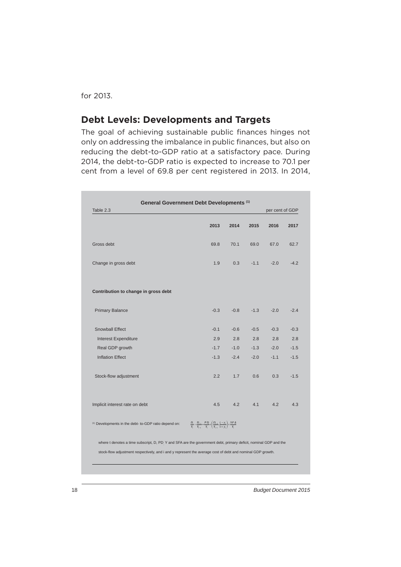for 2013.

#### **Debt Levels: Developments and Targets**

The goal of achieving sustainable public finances hinges not only on addressing the imbalance in public finances, but also on reducing the debt-to-GDP ratio at a satisfactory pace. During 2014, the debt-to-GDP ratio is expected to increase to 70.1 per cent from a level of 69.8 per cent registered in 2013. In 2014,

| Table 2.3                                                                                                       |                                                                                                                                                         |        |        | per cent of GDP |        |
|-----------------------------------------------------------------------------------------------------------------|---------------------------------------------------------------------------------------------------------------------------------------------------------|--------|--------|-----------------|--------|
|                                                                                                                 | 2013                                                                                                                                                    | 2014   | 2015   | 2016            | 2017   |
| Gross debt                                                                                                      | 69.8                                                                                                                                                    | 70.1   | 69.0   | 67.0            | 62.7   |
| Change in gross debt                                                                                            | 1.9                                                                                                                                                     | 0.3    | $-1.1$ | $-2.0$          | $-4.2$ |
| Contribution to change in gross debt                                                                            |                                                                                                                                                         |        |        |                 |        |
| <b>Primary Balance</b>                                                                                          | $-0.3$                                                                                                                                                  | $-0.8$ | $-1.3$ | $-2.0$          | $-2.4$ |
| Snowball Effect                                                                                                 | $-0.1$                                                                                                                                                  | $-0.6$ | $-0.5$ | $-0.3$          | $-0.3$ |
| <b>Interest Expenditure</b>                                                                                     | 2.9                                                                                                                                                     | 2.8    | 2.8    | 2.8             | 2.8    |
| Real GDP growth                                                                                                 | $-1.7$                                                                                                                                                  | $-1.0$ | $-1.3$ | $-2.0$          | $-1.5$ |
| <b>Inflation Effect</b>                                                                                         | $-1.3$                                                                                                                                                  | $-2.4$ | $-2.0$ | $-1.1$          | $-1.5$ |
| Stock-flow adjustment                                                                                           | 2.2                                                                                                                                                     | 1.7    | 0.6    | 0.3             | $-1.5$ |
| Implicit interest rate on debt                                                                                  | 4.5                                                                                                                                                     | 4.2    | 4.1    | 4.2             | 4.3    |
| <sup>(1)</sup> Developments in the debt- to-GDP ratio depend on:                                                | $\frac{D_t}{Y_t} - \frac{D_{t-1}}{Y_{t-1}} = \frac{PD_t}{Y_t} + \left(\frac{D_{t-1}}{Y_{t-1}} \cdot \frac{i_t - y_t}{1 + y_t}\right) + \frac{SFA}{Y_t}$ |        |        |                 |        |
| where t denotes a time subscript, D, PD Y and SFA are the government debt, primary deficit, nominal GDP and the |                                                                                                                                                         |        |        |                 |        |
| stock-flow adjustment respectively, and i and y represent the average cost of debt and nominal GDP growth.      |                                                                                                                                                         |        |        |                 |        |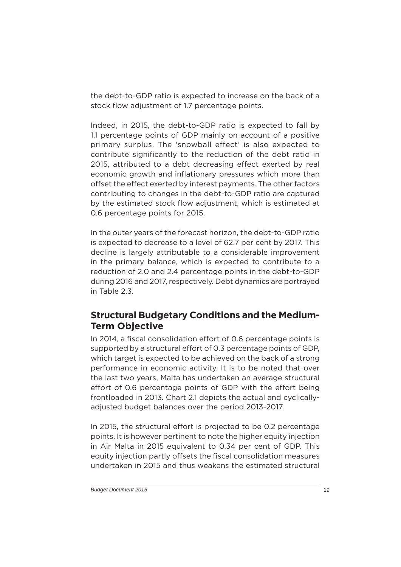the debt-to-GDP ratio is expected to increase on the back of a stock flow adjustment of 1.7 percentage points.

Indeed, in 2015, the debt-to-GDP ratio is expected to fall by 1.1 percentage points of GDP mainly on account of a positive primary surplus. The 'snowball effect' is also expected to contribute significantly to the reduction of the debt ratio in 2015, attributed to a debt decreasing effect exerted by real economic growth and inflationary pressures which more than offset the effect exerted by interest payments. The other factors contributing to changes in the debt-to-GDP ratio are captured by the estimated stock flow adjustment, which is estimated at 0.6 percentage points for 2015.

In the outer years of the forecast horizon, the debt-to-GDP ratio is expected to decrease to a level of 62.7 per cent by 2017. This decline is largely attributable to a considerable improvement in the primary balance, which is expected to contribute to a reduction of 2.0 and 2.4 percentage points in the debt-to-GDP during 2016 and 2017, respectively. Debt dynamics are portrayed in Table 2.3.

#### **Structural Budgetary Conditions and the Medium-Term Objective**

In 2014, a fiscal consolidation effort of 0.6 percentage points is supported by a structural effort of 0.3 percentage points of GDP, which target is expected to be achieved on the back of a strong performance in economic activity. It is to be noted that over the last two years, Malta has undertaken an average structural effort of 0.6 percentage points of GDP with the effort being frontloaded in 2013. Chart 2.1 depicts the actual and cyclicallyadjusted budget balances over the period 2013-2017.

In 2015, the structural effort is projected to be 0.2 percentage points. It is however pertinent to note the higher equity injection in Air Malta in 2015 equivalent to 0.34 per cent of GDP. This equity injection partly offsets the fiscal consolidation measures undertaken in 2015 and thus weakens the estimated structural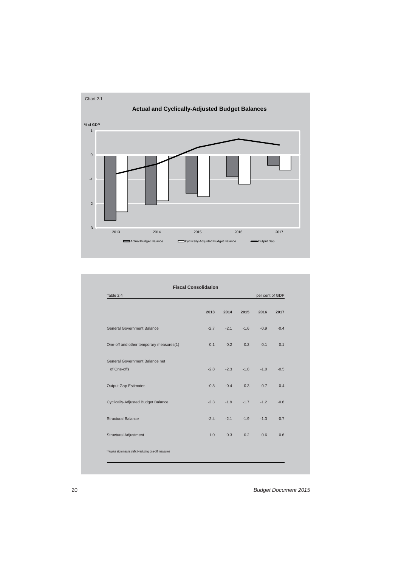

| Table 2.4<br>per cent of GDP                            |        |        |        |        |        |  |  |  |
|---------------------------------------------------------|--------|--------|--------|--------|--------|--|--|--|
|                                                         | 2013   | 2014   | 2015   | 2016   | 2017   |  |  |  |
| <b>General Government Balance</b>                       | $-2.7$ | $-2.1$ | $-1.6$ | $-0.9$ | $-0.4$ |  |  |  |
| One-off and other temporary measures(1)                 | 0.1    | 0.2    | 0.2    | 0.1    | 0.1    |  |  |  |
| General Government Balance net                          |        |        |        |        |        |  |  |  |
| of One-offs                                             | $-2.8$ | $-2.3$ | $-1.8$ | $-1.0$ | $-0.5$ |  |  |  |
| <b>Output Gap Estimates</b>                             | $-0.8$ | $-0.4$ | 0.3    | 0.7    | 0.4    |  |  |  |
| Cyclically-Adjusted Budget Balance                      | $-2.3$ | $-1.9$ | $-1.7$ | $-1.2$ | $-0.6$ |  |  |  |
| <b>Structural Balance</b>                               | $-2.4$ | $-2.1$ | $-1.9$ | $-1.3$ | $-0.7$ |  |  |  |
| <b>Structural Adjustment</b>                            | 1.0    | 0.3    | 0.2    | 0.6    | 0.6    |  |  |  |
| (1) A plus sign means deficit-reducing one-off measures |        |        |        |        |        |  |  |  |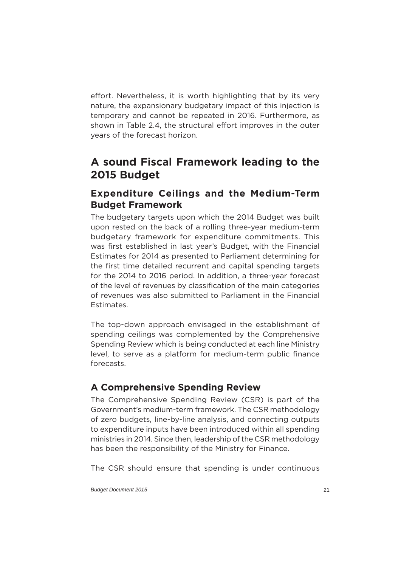effort. Nevertheless, it is worth highlighting that by its very nature, the expansionary budgetary impact of this injection is temporary and cannot be repeated in 2016. Furthermore, as shown in Table 2.4, the structural effort improves in the outer years of the forecast horizon.

# **A sound Fiscal Framework leading to the 2015 Budget**

#### **Expenditure Ceilings and the Medium-Term Budget Framework**

The budgetary targets upon which the 2014 Budget was built upon rested on the back of a rolling three-year medium-term budgetary framework for expenditure commitments. This was first established in last year's Budget, with the Financial Estimates for 2014 as presented to Parliament determining for the first time detailed recurrent and capital spending targets for the 2014 to 2016 period. In addition, a three-year forecast of the level of revenues by classification of the main categories of revenues was also submitted to Parliament in the Financial Estimates.

The top-down approach envisaged in the establishment of spending ceilings was complemented by the Comprehensive Spending Review which is being conducted at each line Ministry level, to serve as a platform for medium-term public finance forecasts.

#### **A Comprehensive Spending Review**

The Comprehensive Spending Review (CSR) is part of the Government's medium-term framework. The CSR methodology of zero budgets, line-by-line analysis, and connecting outputs to expenditure inputs have been introduced within all spending ministries in 2014. Since then, leadership of the CSR methodology has been the responsibility of the Ministry for Finance.

The CSR should ensure that spending is under continuous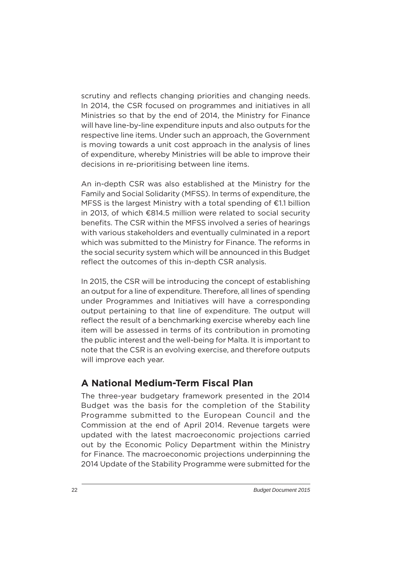scrutiny and reflects changing priorities and changing needs. In 2014, the CSR focused on programmes and initiatives in all Ministries so that by the end of 2014, the Ministry for Finance will have line-by-line expenditure inputs and also outputs for the respective line items. Under such an approach, the Government is moving towards a unit cost approach in the analysis of lines of expenditure, whereby Ministries will be able to improve their decisions in re-prioritising between line items.

An in-depth CSR was also established at the Ministry for the Family and Social Solidarity (MFSS). In terms of expenditure, the MFSS is the largest Ministry with a total spending of €1.1 billion in 2013, of which €814.5 million were related to social security benefits. The CSR within the MFSS involved a series of hearings with various stakeholders and eventually culminated in a report which was submitted to the Ministry for Finance. The reforms in the social security system which will be announced in this Budget reflect the outcomes of this in-depth CSR analysis.

In 2015, the CSR will be introducing the concept of establishing an output for a line of expenditure. Therefore, all lines of spending under Programmes and Initiatives will have a corresponding output pertaining to that line of expenditure. The output will reflect the result of a benchmarking exercise whereby each line item will be assessed in terms of its contribution in promoting the public interest and the well-being for Malta. It is important to note that the CSR is an evolving exercise, and therefore outputs will improve each year.

#### **A National Medium-Term Fiscal Plan**

The three-year budgetary framework presented in the 2014 Budget was the basis for the completion of the Stability Programme submitted to the European Council and the Commission at the end of April 2014. Revenue targets were updated with the latest macroeconomic projections carried out by the Economic Policy Department within the Ministry for Finance. The macroeconomic projections underpinning the 2014 Update of the Stability Programme were submitted for the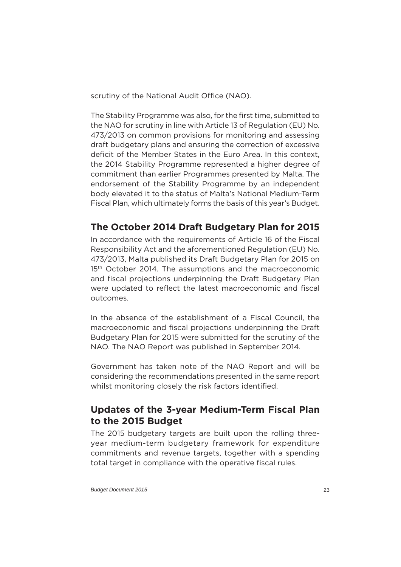scrutiny of the National Audit Office (NAO).

The Stability Programme was also, for the first time, submitted to the NAO for scrutiny in line with Article 13 of Regulation (EU) No. 473/2013 on common provisions for monitoring and assessing draft budgetary plans and ensuring the correction of excessive deficit of the Member States in the Euro Area. In this context, the 2014 Stability Programme represented a higher degree of commitment than earlier Programmes presented by Malta. The endorsement of the Stability Programme by an independent body elevated it to the status of Malta's National Medium-Term Fiscal Plan, which ultimately forms the basis of this year's Budget.

#### **The October 2014 Draft Budgetary Plan for 2015**

In accordance with the requirements of Article 16 of the Fiscal Responsibility Act and the aforementioned Regulation (EU) No. 473/2013, Malta published its Draft Budgetary Plan for 2015 on 15<sup>th</sup> October 2014. The assumptions and the macroeconomic and fiscal projections underpinning the Draft Budgetary Plan were updated to reflect the latest macroeconomic and fiscal outcomes.

In the absence of the establishment of a Fiscal Council, the macroeconomic and fiscal projections underpinning the Draft Budgetary Plan for 2015 were submitted for the scrutiny of the NAO. The NAO Report was published in September 2014.

Government has taken note of the NAO Report and will be considering the recommendations presented in the same report whilst monitoring closely the risk factors identified.

#### **Updates of the 3-year Medium-Term Fiscal Plan to the 2015 Budget**

The 2015 budgetary targets are built upon the rolling threeyear medium-term budgetary framework for expenditure commitments and revenue targets, together with a spending total target in compliance with the operative fiscal rules.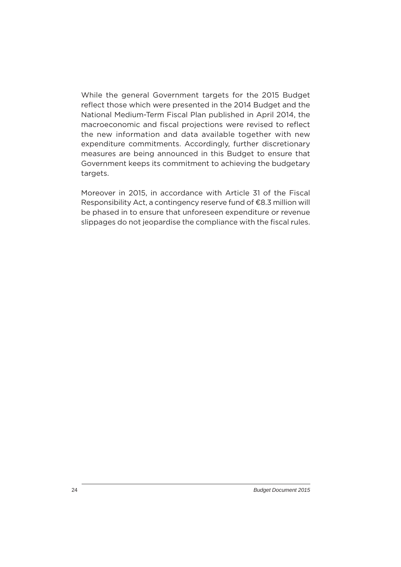While the general Government targets for the 2015 Budget reflect those which were presented in the 2014 Budget and the National Medium-Term Fiscal Plan published in April 2014, the macroeconomic and fiscal projections were revised to reflect the new information and data available together with new expenditure commitments. Accordingly, further discretionary measures are being announced in this Budget to ensure that Government keeps its commitment to achieving the budgetary targets.

Moreover in 2015, in accordance with Article 31 of the Fiscal Responsibility Act, a contingency reserve fund of €8.3 million will be phased in to ensure that unforeseen expenditure or revenue slippages do not jeopardise the compliance with the fiscal rules.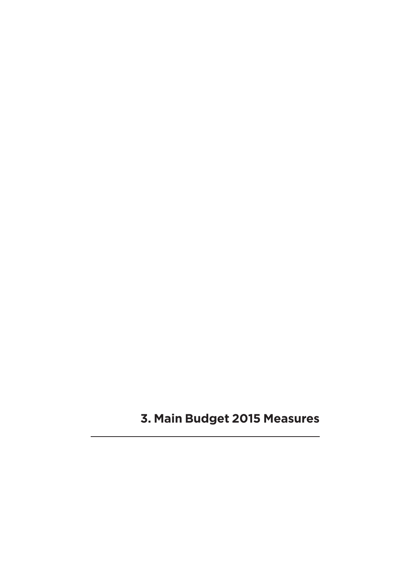**3. Main Budget 2015 Measures**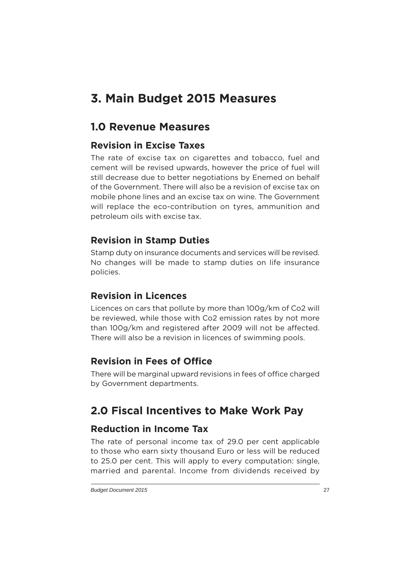# **3. Main Budget 2015 Measures**

# **1.0 Revenue Measures**

#### **Revision in Excise Taxes**

The rate of excise tax on cigarettes and tobacco, fuel and cement will be revised upwards, however the price of fuel will still decrease due to better negotiations by Enemed on behalf of the Government. There will also be a revision of excise tax on mobile phone lines and an excise tax on wine. The Government will replace the eco-contribution on tyres, ammunition and petroleum oils with excise tax.

#### **Revision in Stamp Duties**

Stamp duty on insurance documents and services will be revised. No changes will be made to stamp duties on life insurance policies.

#### **Revision in Licences**

Licences on cars that pollute by more than 100g/km of Co2 will be reviewed, while those with Co2 emission rates by not more than 100g/km and registered after 2009 will not be affected. There will also be a revision in licences of swimming pools.

#### **Revision in Fees of Office**

There will be marginal upward revisions in fees of office charged by Government departments.

# **2.0 Fiscal Incentives to Make Work Pay**

# **Reduction in Income Tax**

The rate of personal income tax of 29.0 per cent applicable to those who earn sixty thousand Euro or less will be reduced to 25.0 per cent. This will apply to every computation: single, married and parental. Income from dividends received by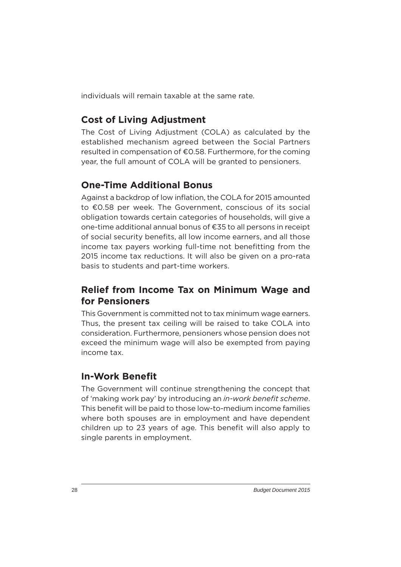individuals will remain taxable at the same rate.

#### **Cost of Living Adjustment**

The Cost of Living Adjustment (COLA) as calculated by the established mechanism agreed between the Social Partners resulted in compensation of €0.58. Furthermore, for the coming year, the full amount of COLA will be granted to pensioners.

#### **One-Time Additional Bonus**

Against a backdrop of low inflation, the COLA for 2015 amounted to €0.58 per week. The Government, conscious of its social obligation towards certain categories of households, will give a one-time additional annual bonus of €35 to all persons in receipt of social security benefits, all low income earners, and all those income tax payers working full-time not benefitting from the 2015 income tax reductions. It will also be given on a pro-rata basis to students and part-time workers.

#### **Relief from Income Tax on Minimum Wage and for Pensioners**

This Government is committed not to tax minimum wage earners. Thus, the present tax ceiling will be raised to take COLA into consideration. Furthermore, pensioners whose pension does not exceed the minimum wage will also be exempted from paying income tax.

#### **In-Work Benefit**

The Government will continue strengthening the concept that of 'making work pay' by introducing an *in-work benefit scheme*. This benefit will be paid to those low-to-medium income families where both spouses are in employment and have dependent children up to 23 years of age. This benefit will also apply to single parents in employment.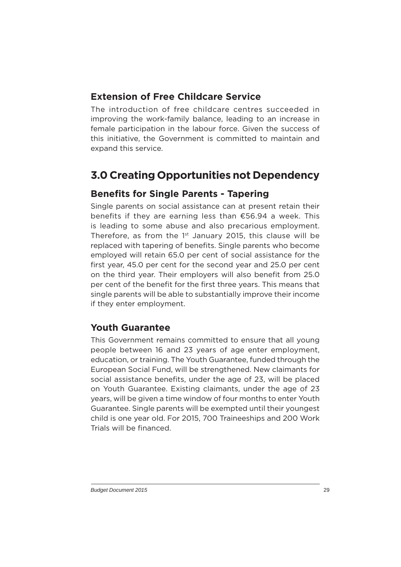### **Extension of Free Childcare Service**

The introduction of free childcare centres succeeded in improving the work-family balance, leading to an increase in female participation in the labour force. Given the success of this initiative, the Government is committed to maintain and expand this service.

# **3.0 Creating Opportunities not Dependency**

#### **Benefits for Single Parents - Tapering**

Single parents on social assistance can at present retain their benefits if they are earning less than  $£56.94$  a week. This is leading to some abuse and also precarious employment. Therefore, as from the  $1<sup>st</sup>$  January 2015, this clause will be replaced with tapering of benefits. Single parents who become employed will retain 65.0 per cent of social assistance for the first year, 45.0 per cent for the second year and 25.0 per cent on the third year. Their employers will also benefit from 25.0 per cent of the benefit for the first three years. This means that single parents will be able to substantially improve their income if they enter employment.

#### **Youth Guarantee**

This Government remains committed to ensure that all young people between 16 and 23 years of age enter employment, education, or training. The Youth Guarantee, funded through the European Social Fund, will be strengthened. New claimants for social assistance benefits, under the age of 23, will be placed on Youth Guarantee. Existing claimants, under the age of 23 years, will be given a time window of four months to enter Youth Guarantee. Single parents will be exempted until their youngest child is one year old. For 2015, 700 Traineeships and 200 Work Trials will be financed.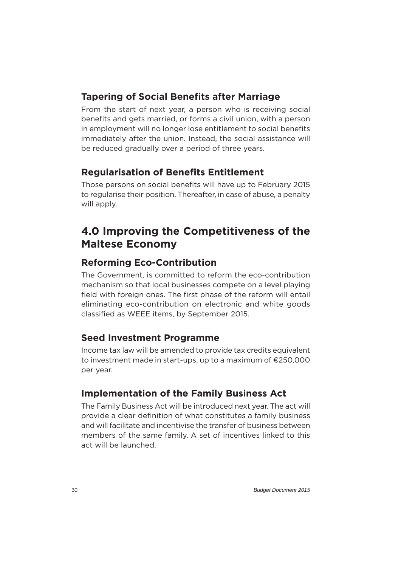### **Tapering of Social Benefits after Marriage**

From the start of next year, a person who is receiving social benefits and gets married, or forms a civil union, with a person in employment will no longer lose entitlement to social benefits immediately after the union. Instead, the social assistance will be reduced gradually over a period of three years.

# **Regularisation of Benefits Entitlement**

Those persons on social benefits will have up to February 2015 to regularise their position. Thereafter, in case of abuse, a penalty will apply.

# **4.0 Improving the Competitiveness of the Maltese Economy**

# **Reforming Eco-Contribution**

The Government, is committed to reform the eco-contribution mechanism so that local businesses compete on a level playing field with foreign ones. The first phase of the reform will entail eliminating eco-contribution on electronic and white goods classified as WEEE items, by September 2015.

#### **Seed Investment Programme**

Income tax law will be amended to provide tax credits equivalent to investment made in start-ups, up to a maximum of €250,000 per year.

# **Implementation of the Family Business Act**

The Family Business Act will be introduced next year. The act will provide a clear definition of what constitutes a family business and will facilitate and incentivise the transfer of business between members of the same family. A set of incentives linked to this act will be launched.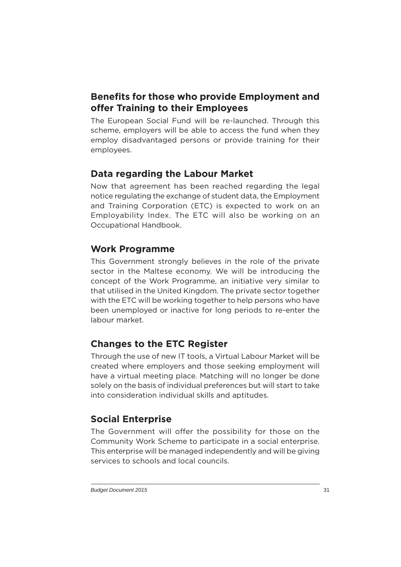# **Benefits for those who provide Employment and offer Training to their Employees**

The European Social Fund will be re-launched. Through this scheme, employers will be able to access the fund when they employ disadvantaged persons or provide training for their employees.

# **Data regarding the Labour Market**

Now that agreement has been reached regarding the legal notice regulating the exchange of student data, the Employment and Training Corporation (ETC) is expected to work on an Employability Index. The ETC will also be working on an Occupational Handbook.

#### **Work Programme**

This Government strongly believes in the role of the private sector in the Maltese economy. We will be introducing the concept of the Work Programme, an initiative very similar to that utilised in the United Kingdom. The private sector together with the ETC will be working together to help persons who have been unemployed or inactive for long periods to re-enter the labour market.

# **Changes to the ETC Register**

Through the use of new IT tools, a Virtual Labour Market will be created where employers and those seeking employment will have a virtual meeting place. Matching will no longer be done solely on the basis of individual preferences but will start to take into consideration individual skills and aptitudes.

# **Social Enterprise**

The Government will offer the possibility for those on the Community Work Scheme to participate in a social enterprise. This enterprise will be managed independently and will be giving services to schools and local councils.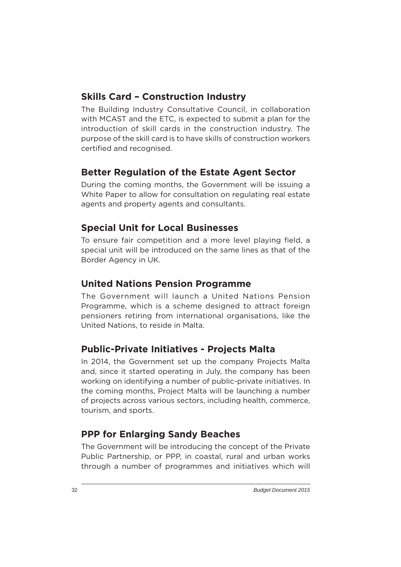#### **Skills Card – Construction Industry**

The Building Industry Consultative Council, in collaboration with MCAST and the ETC, is expected to submit a plan for the introduction of skill cards in the construction industry. The purpose of the skill card is to have skills of construction workers certified and recognised.

#### **Better Regulation of the Estate Agent Sector**

During the coming months, the Government will be issuing a White Paper to allow for consultation on regulating real estate agents and property agents and consultants.

#### **Special Unit for Local Businesses**

To ensure fair competition and a more level playing field, a special unit will be introduced on the same lines as that of the Border Agency in UK.

#### **United Nations Pension Programme**

The Government will launch a United Nations Pension Programme, which is a scheme designed to attract foreign pensioners retiring from international organisations, like the United Nations, to reside in Malta.

#### **Public-Private Initiatives - Projects Malta**

In 2014, the Government set up the company Projects Malta and, since it started operating in July, the company has been working on identifying a number of public-private initiatives. In the coming months, Project Malta will be launching a number of projects across various sectors, including health, commerce, tourism, and sports.

#### **PPP for Enlarging Sandy Beaches**

The Government will be introducing the concept of the Private Public Partnership, or PPP, in coastal, rural and urban works through a number of programmes and initiatives which will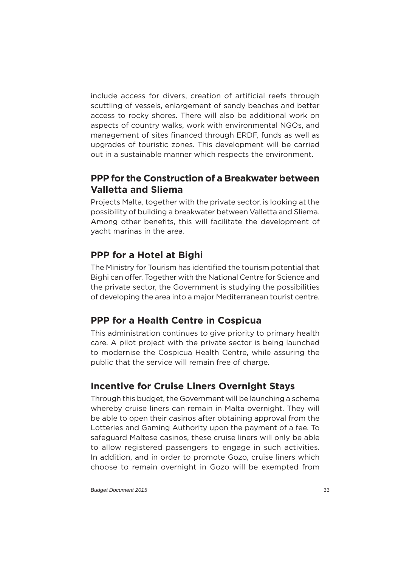include access for divers, creation of artificial reefs through scuttling of vessels, enlargement of sandy beaches and better access to rocky shores. There will also be additional work on aspects of country walks, work with environmental NGOs, and management of sites financed through ERDF, funds as well as upgrades of touristic zones. This development will be carried out in a sustainable manner which respects the environment.

#### **PPP for the Construction of a Breakwater between Valletta and Sliema**

Projects Malta, together with the private sector, is looking at the possibility of building a breakwater between Valletta and Sliema. Among other benefits, this will facilitate the development of yacht marinas in the area.

#### **PPP for a Hotel at Bighi**

The Ministry for Tourism has identified the tourism potential that Bighi can offer. Together with the National Centre for Science and the private sector, the Government is studying the possibilities of developing the area into a major Mediterranean tourist centre.

# **PPP for a Health Centre in Cospicua**

This administration continues to give priority to primary health care. A pilot project with the private sector is being launched to modernise the Cospicua Health Centre, while assuring the public that the service will remain free of charge.

# **Incentive for Cruise Liners Overnight Stays**

Through this budget, the Government will be launching a scheme whereby cruise liners can remain in Malta overnight. They will be able to open their casinos after obtaining approval from the Lotteries and Gaming Authority upon the payment of a fee. To safeguard Maltese casinos, these cruise liners will only be able to allow registered passengers to engage in such activities. In addition, and in order to promote Gozo, cruise liners which choose to remain overnight in Gozo will be exempted from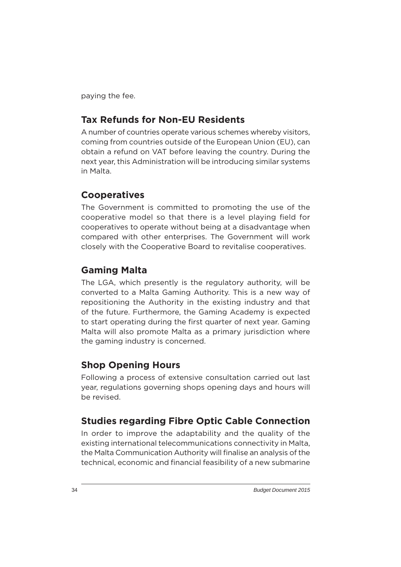paying the fee.

#### **Tax Refunds for Non-EU Residents**

A number of countries operate various schemes whereby visitors, coming from countries outside of the European Union (EU), can obtain a refund on VAT before leaving the country. During the next year, this Administration will be introducing similar systems in Malta.

#### **Cooperatives**

The Government is committed to promoting the use of the cooperative model so that there is a level playing field for cooperatives to operate without being at a disadvantage when compared with other enterprises. The Government will work closely with the Cooperative Board to revitalise cooperatives.

#### **Gaming Malta**

The LGA, which presently is the regulatory authority, will be converted to a Malta Gaming Authority. This is a new way of repositioning the Authority in the existing industry and that of the future. Furthermore, the Gaming Academy is expected to start operating during the first quarter of next year. Gaming Malta will also promote Malta as a primary jurisdiction where the gaming industry is concerned.

#### **Shop Opening Hours**

Following a process of extensive consultation carried out last year, regulations governing shops opening days and hours will be revised.

#### **Studies regarding Fibre Optic Cable Connection**

In order to improve the adaptability and the quality of the existing international telecommunications connectivity in Malta, the Malta Communication Authority will finalise an analysis of the technical, economic and financial feasibility of a new submarine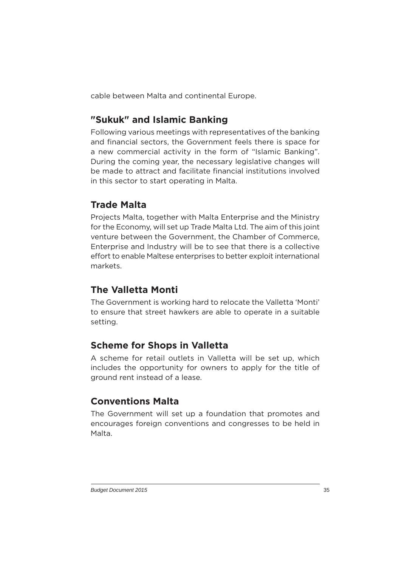cable between Malta and continental Europe.

# **"Sukuk" and Islamic Banking**

Following various meetings with representatives of the banking and financial sectors, the Government feels there is space for a new commercial activity in the form of "Islamic Banking". During the coming year, the necessary legislative changes will be made to attract and facilitate financial institutions involved in this sector to start operating in Malta.

#### **Trade Malta**

Projects Malta, together with Malta Enterprise and the Ministry for the Economy, will set up Trade Malta Ltd. The aim of this joint venture between the Government, the Chamber of Commerce, Enterprise and Industry will be to see that there is a collective effort to enable Maltese enterprises to better exploit international markets.

#### **The Valletta Monti**

The Government is working hard to relocate the Valletta 'Monti' to ensure that street hawkers are able to operate in a suitable setting.

# **Scheme for Shops in Valletta**

A scheme for retail outlets in Valletta will be set up, which includes the opportunity for owners to apply for the title of ground rent instead of a lease.

# **Conventions Malta**

The Government will set up a foundation that promotes and encourages foreign conventions and congresses to be held in Malta.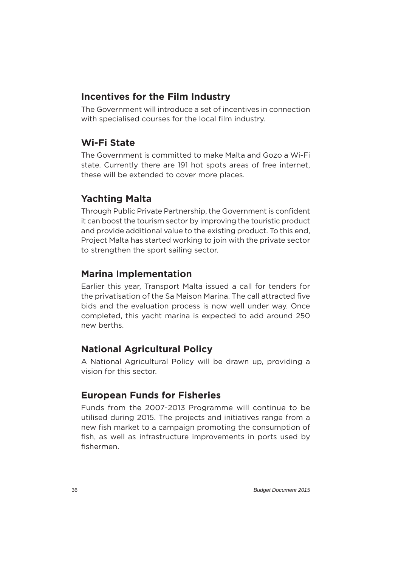#### **Incentives for the Film Industry**

The Government will introduce a set of incentives in connection with specialised courses for the local film industry.

#### **Wi-Fi State**

The Government is committed to make Malta and Gozo a Wi-Fi state. Currently there are 191 hot spots areas of free internet, these will be extended to cover more places.

# **Yachting Malta**

Through Public Private Partnership, the Government is confident it can boost the tourism sector by improving the touristic product and provide additional value to the existing product. To this end, Project Malta has started working to join with the private sector to strengthen the sport sailing sector.

#### **Marina Implementation**

Earlier this year, Transport Malta issued a call for tenders for the privatisation of the Sa Maison Marina. The call attracted five bids and the evaluation process is now well under way. Once completed, this yacht marina is expected to add around 250 new berths.

#### **National Agricultural Policy**

A National Agricultural Policy will be drawn up, providing a vision for this sector.

# **European Funds for Fisheries**

Funds from the 2007-2013 Programme will continue to be utilised during 2015. The projects and initiatives range from a new fish market to a campaign promoting the consumption of fish, as well as infrastructure improvements in ports used by fishermen.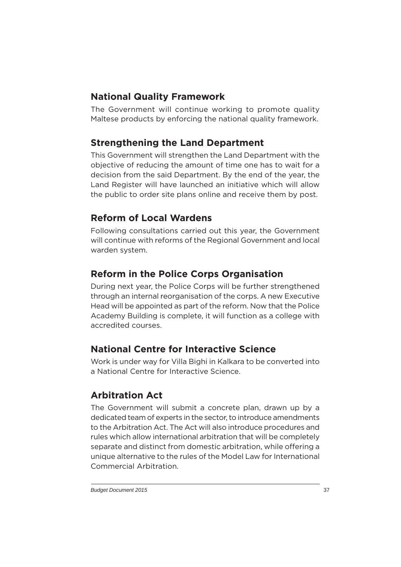### **National Quality Framework**

The Government will continue working to promote quality Maltese products by enforcing the national quality framework.

# **Strengthening the Land Department**

This Government will strengthen the Land Department with the objective of reducing the amount of time one has to wait for a decision from the said Department. By the end of the year, the Land Register will have launched an initiative which will allow the public to order site plans online and receive them by post.

# **Reform of Local Wardens**

Following consultations carried out this year, the Government will continue with reforms of the Regional Government and local warden system.

# **Reform in the Police Corps Organisation**

During next year, the Police Corps will be further strengthened through an internal reorganisation of the corps. A new Executive Head will be appointed as part of the reform. Now that the Police Academy Building is complete, it will function as a college with accredited courses.

# **National Centre for Interactive Science**

Work is under way for Villa Bighi in Kalkara to be converted into a National Centre for Interactive Science.

# **Arbitration Act**

The Government will submit a concrete plan, drawn up by a dedicated team of experts in the sector, to introduce amendments to the Arbitration Act. The Act will also introduce procedures and rules which allow international arbitration that will be completely separate and distinct from domestic arbitration, while offering a unique alternative to the rules of the Model Law for International Commercial Arbitration.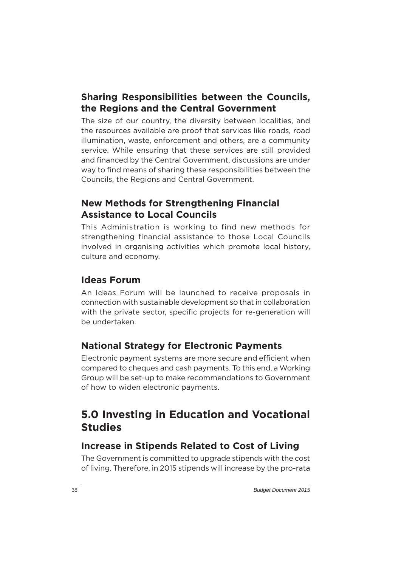#### **Sharing Responsibilities between the Councils, the Regions and the Central Government**

The size of our country, the diversity between localities, and the resources available are proof that services like roads, road illumination, waste, enforcement and others, are a community service. While ensuring that these services are still provided and financed by the Central Government, discussions are under way to find means of sharing these responsibilities between the Councils, the Regions and Central Government.

#### **New Methods for Strengthening Financial Assistance to Local Councils**

This Administration is working to find new methods for strengthening financial assistance to those Local Councils involved in organising activities which promote local history, culture and economy.

#### **Ideas Forum**

An Ideas Forum will be launched to receive proposals in connection with sustainable development so that in collaboration with the private sector, specific projects for re-generation will be undertaken.

#### **National Strategy for Electronic Payments**

Electronic payment systems are more secure and efficient when compared to cheques and cash payments. To this end, a Working Group will be set-up to make recommendations to Government of how to widen electronic payments.

# **5.0 Investing in Education and Vocational Studies**

#### **Increase in Stipends Related to Cost of Living**

The Government is committed to upgrade stipends with the cost of living. Therefore, in 2015 stipends will increase by the pro-rata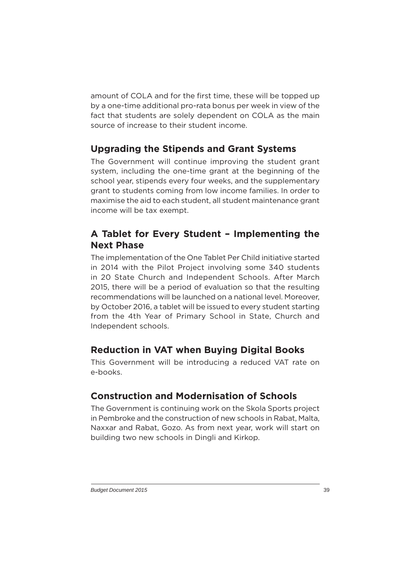amount of COLA and for the first time, these will be topped up by a one-time additional pro-rata bonus per week in view of the fact that students are solely dependent on COLA as the main source of increase to their student income.

# **Upgrading the Stipends and Grant Systems**

The Government will continue improving the student grant system, including the one-time grant at the beginning of the school year, stipends every four weeks, and the supplementary grant to students coming from low income families. In order to maximise the aid to each student, all student maintenance grant income will be tax exempt.

#### **A Tablet for Every Student – Implementing the Next Phase**

The implementation of the One Tablet Per Child initiative started in 2014 with the Pilot Project involving some 340 students in 20 State Church and Independent Schools. After March 2015, there will be a period of evaluation so that the resulting recommendations will be launched on a national level. Moreover, by October 2016, a tablet will be issued to every student starting from the 4th Year of Primary School in State, Church and Independent schools.

# **Reduction in VAT when Buying Digital Books**

This Government will be introducing a reduced VAT rate on e-books.

# **Construction and Modernisation of Schools**

The Government is continuing work on the Skola Sports project in Pembroke and the construction of new schools in Rabat, Malta, Naxxar and Rabat, Gozo. As from next year, work will start on building two new schools in Dingli and Kirkop.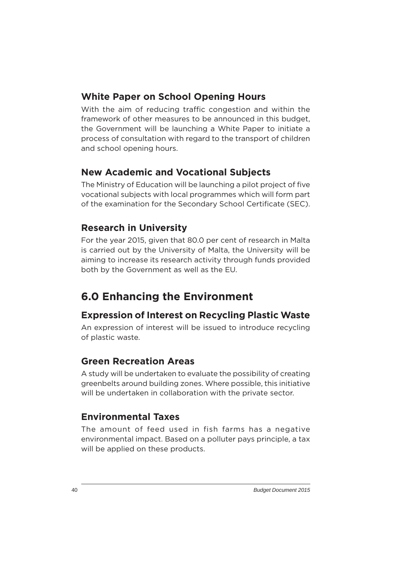#### **White Paper on School Opening Hours**

With the aim of reducing traffic congestion and within the framework of other measures to be announced in this budget, the Government will be launching a White Paper to initiate a process of consultation with regard to the transport of children and school opening hours.

#### **New Academic and Vocational Subjects**

The Ministry of Education will be launching a pilot project of five vocational subjects with local programmes which will form part of the examination for the Secondary School Certificate (SEC).

#### **Research in University**

For the year 2015, given that 80.0 per cent of research in Malta is carried out by the University of Malta, the University will be aiming to increase its research activity through funds provided both by the Government as well as the EU.

# **6.0 Enhancing the Environment**

# **Expression of Interest on Recycling Plastic Waste**

An expression of interest will be issued to introduce recycling of plastic waste.

#### **Green Recreation Areas**

A study will be undertaken to evaluate the possibility of creating greenbelts around building zones. Where possible, this initiative will be undertaken in collaboration with the private sector.

#### **Environmental Taxes**

The amount of feed used in fish farms has a negative environmental impact. Based on a polluter pays principle, a tax will be applied on these products.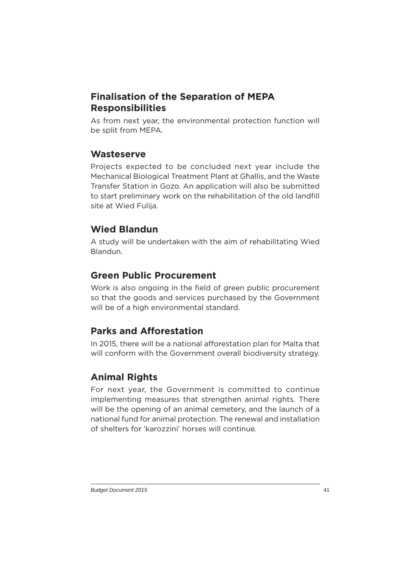# **Finalisation of the Separation of MEPA Responsibilities**

As from next year, the environmental protection function will be split from MEPA.

#### **Wasteserve**

Projects expected to be concluded next year include the Mechanical Biological Treatment Plant at Għallis, and the Waste Transfer Station in Gozo. An application will also be submitted to start preliminary work on the rehabilitation of the old landfill site at Wied Fulija.

# **Wied Blandun**

A study will be undertaken with the aim of rehabilitating Wied Blandun.

# **Green Public Procurement**

Work is also ongoing in the field of green public procurement so that the goods and services purchased by the Government will be of a high environmental standard.

# **Parks and Afforestation**

In 2015, there will be a national afforestation plan for Malta that will conform with the Government overall biodiversity strategy.

# **Animal Rights**

For next year, the Government is committed to continue implementing measures that strengthen animal rights. There will be the opening of an animal cemetery, and the launch of a national fund for animal protection. The renewal and installation of shelters for 'karozzini' horses will continue.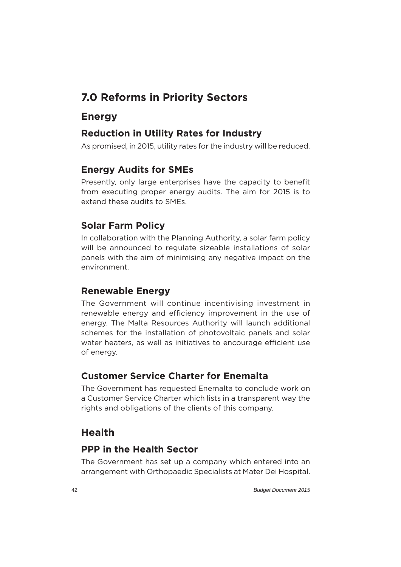# **7.0 Reforms in Priority Sectors**

# **Energy**

### **Reduction in Utility Rates for Industry**

As promised, in 2015, utility rates for the industry will be reduced.

# **Energy Audits for SMEs**

Presently, only large enterprises have the capacity to benefit from executing proper energy audits. The aim for 2015 is to extend these audits to SMEs.

# **Solar Farm Policy**

In collaboration with the Planning Authority, a solar farm policy will be announced to regulate sizeable installations of solar panels with the aim of minimising any negative impact on the environment.

# **Renewable Energy**

The Government will continue incentivising investment in renewable energy and efficiency improvement in the use of energy. The Malta Resources Authority will launch additional schemes for the installation of photovoltaic panels and solar water heaters, as well as initiatives to encourage efficient use of energy.

#### **Customer Service Charter for Enemalta**

The Government has requested Enemalta to conclude work on a Customer Service Charter which lists in a transparent way the rights and obligations of the clients of this company.

# **Health**

# **PPP in the Health Sector**

The Government has set up a company which entered into an arrangement with Orthopaedic Specialists at Mater Dei Hospital.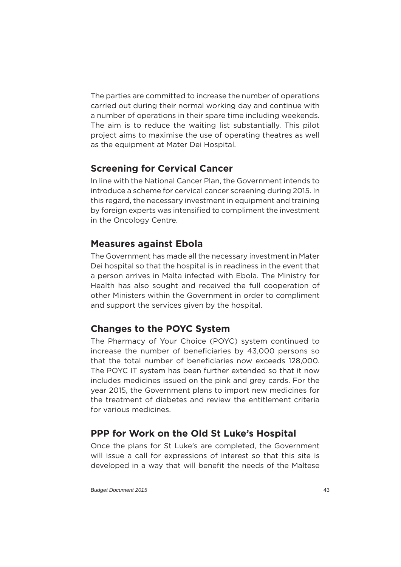The parties are committed to increase the number of operations carried out during their normal working day and continue with a number of operations in their spare time including weekends. The aim is to reduce the waiting list substantially. This pilot project aims to maximise the use of operating theatres as well as the equipment at Mater Dei Hospital.

#### **Screening for Cervical Cancer**

In line with the National Cancer Plan, the Government intends to introduce a scheme for cervical cancer screening during 2015. In this regard, the necessary investment in equipment and training by foreign experts was intensified to compliment the investment in the Oncology Centre.

#### **Measures against Ebola**

The Government has made all the necessary investment in Mater Dei hospital so that the hospital is in readiness in the event that a person arrives in Malta infected with Ebola. The Ministry for Health has also sought and received the full cooperation of other Ministers within the Government in order to compliment and support the services given by the hospital.

# **Changes to the POYC System**

The Pharmacy of Your Choice (POYC) system continued to increase the number of beneficiaries by 43,000 persons so that the total number of beneficiaries now exceeds 128,000. The POYC IT system has been further extended so that it now includes medicines issued on the pink and grey cards. For the year 2015, the Government plans to import new medicines for the treatment of diabetes and review the entitlement criteria for various medicines.

# **PPP for Work on the Old St Luke's Hospital**

Once the plans for St Luke's are completed, the Government will issue a call for expressions of interest so that this site is developed in a way that will benefit the needs of the Maltese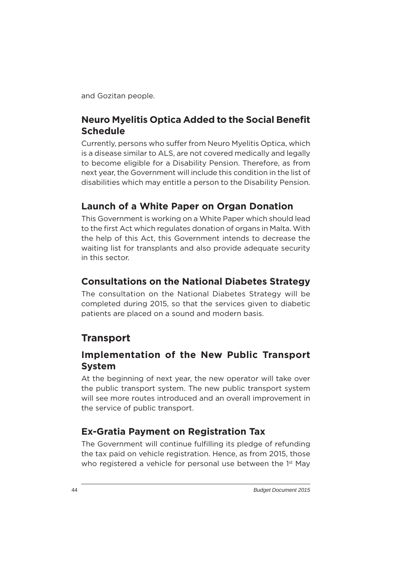and Gozitan people.

#### **Neuro Myelitis Optica Added to the Social Benefit Schedule**

Currently, persons who suffer from Neuro Myelitis Optica, which is a disease similar to ALS, are not covered medically and legally to become eligible for a Disability Pension. Therefore, as from next year, the Government will include this condition in the list of disabilities which may entitle a person to the Disability Pension.

#### **Launch of a White Paper on Organ Donation**

This Government is working on a White Paper which should lead to the first Act which regulates donation of organs in Malta. With the help of this Act, this Government intends to decrease the waiting list for transplants and also provide adequate security in this sector.

#### **Consultations on the National Diabetes Strategy**

The consultation on the National Diabetes Strategy will be completed during 2015, so that the services given to diabetic patients are placed on a sound and modern basis.

#### **Transport**

#### **Implementation of the New Public Transport System**

At the beginning of next year, the new operator will take over the public transport system. The new public transport system will see more routes introduced and an overall improvement in the service of public transport.

#### **Ex-Gratia Payment on Registration Tax**

The Government will continue fulfilling its pledge of refunding the tax paid on vehicle registration. Hence, as from 2015, those who registered a vehicle for personal use between the 1<sup>st</sup> May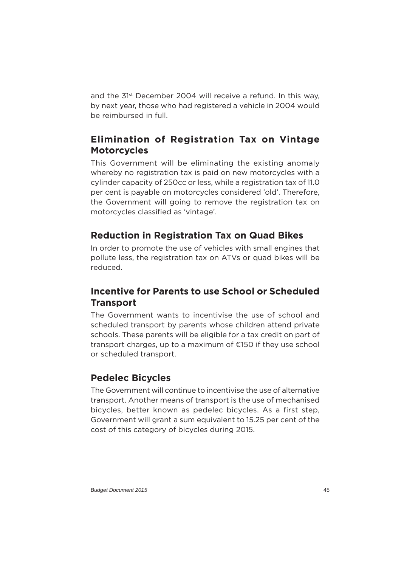and the 31st December 2004 will receive a refund. In this way, by next year, those who had registered a vehicle in 2004 would be reimbursed in full.

# **Elimination of Registration Tax on Vintage Motorcycles**

This Government will be eliminating the existing anomaly whereby no registration tax is paid on new motorcycles with a cylinder capacity of 250cc or less, while a registration tax of 11.0 per cent is payable on motorcycles considered 'old'. Therefore, the Government will going to remove the registration tax on motorcycles classified as 'vintage'.

#### **Reduction in Registration Tax on Quad Bikes**

In order to promote the use of vehicles with small engines that pollute less, the registration tax on ATVs or quad bikes will be reduced.

#### **Incentive for Parents to use School or Scheduled Transport**

The Government wants to incentivise the use of school and scheduled transport by parents whose children attend private schools. These parents will be eligible for a tax credit on part of transport charges, up to a maximum of €150 if they use school or scheduled transport.

#### **Pedelec Bicycles**

The Government will continue to incentivise the use of alternative transport. Another means of transport is the use of mechanised bicycles, better known as pedelec bicycles. As a first step, Government will grant a sum equivalent to 15.25 per cent of the cost of this category of bicycles during 2015.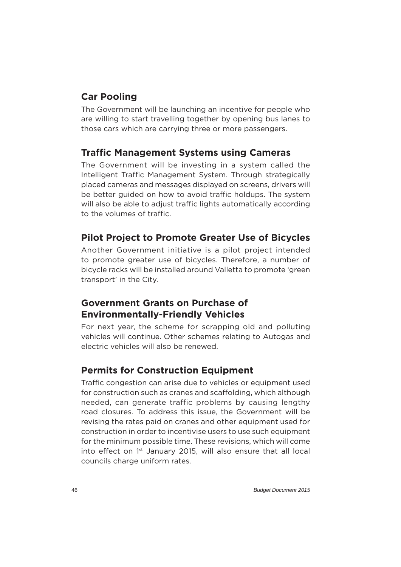# **Car Pooling**

The Government will be launching an incentive for people who are willing to start travelling together by opening bus lanes to those cars which are carrying three or more passengers.

#### **Traffic Management Systems using Cameras**

The Government will be investing in a system called the Intelligent Traffic Management System. Through strategically placed cameras and messages displayed on screens, drivers will be better guided on how to avoid traffic holdups. The system will also be able to adjust traffic lights automatically according to the volumes of traffic.

#### **Pilot Project to Promote Greater Use of Bicycles**

Another Government initiative is a pilot project intended to promote greater use of bicycles. Therefore, a number of bicycle racks will be installed around Valletta to promote 'green transport' in the City.

#### **Government Grants on Purchase of Environmentally-Friendly Vehicles**

For next year, the scheme for scrapping old and polluting vehicles will continue. Other schemes relating to Autogas and electric vehicles will also be renewed.

#### **Permits for Construction Equipment**

Traffic congestion can arise due to vehicles or equipment used for construction such as cranes and scaffolding, which although needed, can generate traffic problems by causing lengthy road closures. To address this issue, the Government will be revising the rates paid on cranes and other equipment used for construction in order to incentivise users to use such equipment for the minimum possible time. These revisions, which will come into effect on 1<sup>st</sup> January 2015, will also ensure that all local councils charge uniform rates.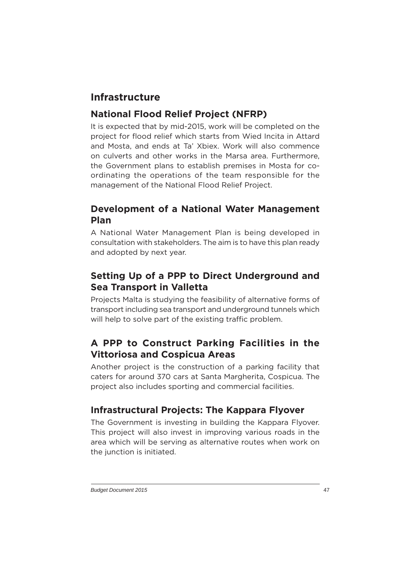# **Infrastructure**

# **National Flood Relief Project (NFRP)**

It is expected that by mid-2015, work will be completed on the project for flood relief which starts from Wied Incita in Attard and Mosta, and ends at Ta' Xbiex. Work will also commence on culverts and other works in the Marsa area. Furthermore, the Government plans to establish premises in Mosta for coordinating the operations of the team responsible for the management of the National Flood Relief Project.

#### **Development of a National Water Management Plan**

A National Water Management Plan is being developed in consultation with stakeholders. The aim is to have this plan ready and adopted by next year.

# **Setting Up of a PPP to Direct Underground and Sea Transport in Valletta**

Projects Malta is studying the feasibility of alternative forms of transport including sea transport and underground tunnels which will help to solve part of the existing traffic problem.

# **A PPP to Construct Parking Facilities in the Vittoriosa and Cospicua Areas**

Another project is the construction of a parking facility that caters for around 370 cars at Santa Margherita, Cospicua. The project also includes sporting and commercial facilities.

# **Infrastructural Projects: The Kappara Flyover**

The Government is investing in building the Kappara Flyover. This project will also invest in improving various roads in the area which will be serving as alternative routes when work on the junction is initiated.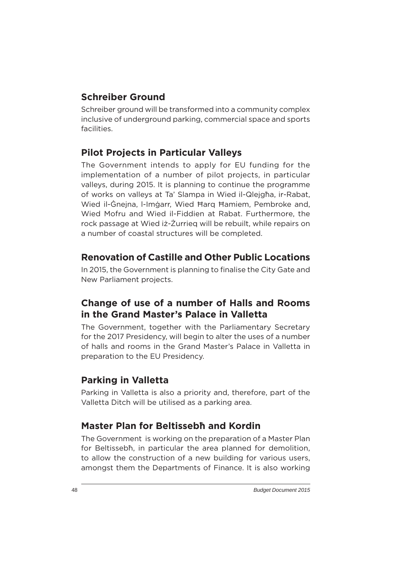#### **Schreiber Ground**

Schreiber ground will be transformed into a community complex inclusive of underground parking, commercial space and sports facilities.

#### **Pilot Projects in Particular Valleys**

The Government intends to apply for EU funding for the implementation of a number of pilot projects, in particular valleys, during 2015. It is planning to continue the programme of works on valleys at Ta' Slampa in Wied il-Qlejgħa, ir-Rabat, Wied il-Ġnejna, l-Imġarr, Wied Ħarq Ħamiem, Pembroke and, Wied Mofru and Wied il-Fiddien at Rabat. Furthermore, the rock passage at Wied iż-Żurrieq will be rebuilt, while repairs on a number of coastal structures will be completed.

#### **Renovation of Castille and Other Public Locations**

In 2015, the Government is planning to finalise the City Gate and New Parliament projects.

# **Change of use of a number of Halls and Rooms in the Grand Master's Palace in Valletta**

The Government, together with the Parliamentary Secretary for the 2017 Presidency, will begin to alter the uses of a number of halls and rooms in the Grand Master's Palace in Valletta in preparation to the EU Presidency.

#### **Parking in Valletta**

Parking in Valletta is also a priority and, therefore, part of the Valletta Ditch will be utilised as a parking area.

#### **Master Plan for Beltissebħ and Kordin**

The Government is working on the preparation of a Master Plan for Beltissebħ, in particular the area planned for demolition, to allow the construction of a new building for various users, amongst them the Departments of Finance. It is also working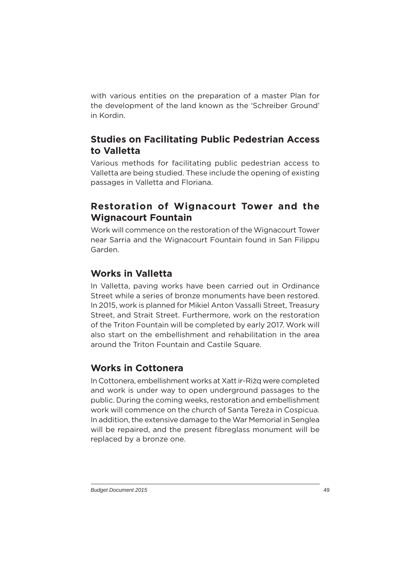with various entities on the preparation of a master Plan for the development of the land known as the 'Schreiber Ground' in Kordin.

#### **Studies on Facilitating Public Pedestrian Access to Valletta**

Various methods for facilitating public pedestrian access to Valletta are being studied. These include the opening of existing passages in Valletta and Floriana.

# **Restoration of Wignacourt Tower and the Wignacourt Fountain**

Work will commence on the restoration of the Wignacourt Tower near Sarria and the Wignacourt Fountain found in San Filippu Garden.

# **Works in Valletta**

In Valletta, paving works have been carried out in Ordinance Street while a series of bronze monuments have been restored. In 2015, work is planned for Mikiel Anton Vassalli Street, Treasury Street, and Strait Street. Furthermore, work on the restoration of the Triton Fountain will be completed by early 2017. Work will also start on the embellishment and rehabilitation in the area around the Triton Fountain and Castile Square.

#### **Works in Cottonera**

In Cottonera, embellishment works at Xatt ir-Riżq were completed and work is under way to open underground passages to the public. During the coming weeks, restoration and embellishment work will commence on the church of Santa Tereża in Cospicua. In addition, the extensive damage to the War Memorial in Senglea will be repaired, and the present fibreglass monument will be replaced by a bronze one.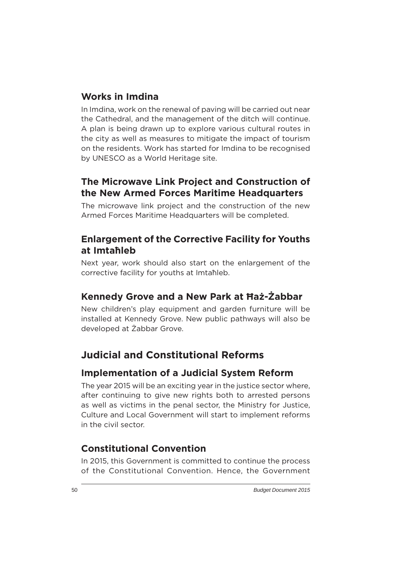#### **Works in Imdina**

In Imdina, work on the renewal of paving will be carried out near the Cathedral, and the management of the ditch will continue. A plan is being drawn up to explore various cultural routes in the city as well as measures to mitigate the impact of tourism on the residents. Work has started for Imdina to be recognised by UNESCO as a World Heritage site.

#### **The Microwave Link Project and Construction of the New Armed Forces Maritime Headquarters**

The microwave link project and the construction of the new Armed Forces Maritime Headquarters will be completed.

#### **Enlargement of the Corrective Facility for Youths at Imtaħleb**

Next year, work should also start on the enlargement of the corrective facility for youths at Imtaħleb.

#### **Kennedy Grove and a New Park at Ħaż-Żabbar**

New children's play equipment and garden furniture will be installed at Kennedy Grove. New public pathways will also be developed at Żabbar Grove.

# **Judicial and Constitutional Reforms**

#### **Implementation of a Judicial System Reform**

The year 2015 will be an exciting year in the justice sector where, after continuing to give new rights both to arrested persons as well as victims in the penal sector, the Ministry for Justice, Culture and Local Government will start to implement reforms in the civil sector.

# **Constitutional Convention**

In 2015, this Government is committed to continue the process of the Constitutional Convention. Hence, the Government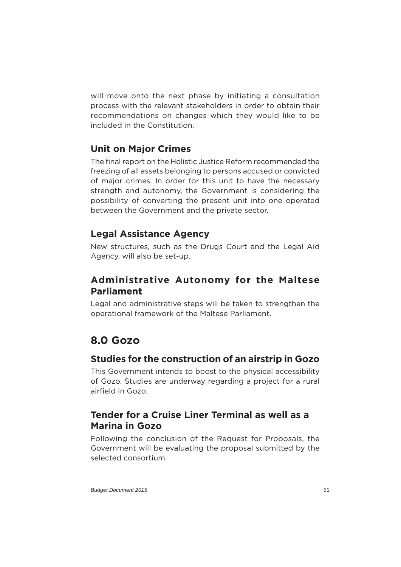will move onto the next phase by initiating a consultation process with the relevant stakeholders in order to obtain their recommendations on changes which they would like to be included in the Constitution.

# **Unit on Major Crimes**

The final report on the Holistic Justice Reform recommended the freezing of all assets belonging to persons accused or convicted of major crimes. In order for this unit to have the necessary strength and autonomy, the Government is considering the possibility of converting the present unit into one operated between the Government and the private sector.

#### **Legal Assistance Agency**

New structures, such as the Drugs Court and the Legal Aid Agency, will also be set-up.

# **Administrative Autonomy for the Maltese Parliament**

Legal and administrative steps will be taken to strengthen the operational framework of the Maltese Parliament.

# **8.0 Gozo**

#### **Studies for the construction of an airstrip in Gozo**

This Government intends to boost to the physical accessibility of Gozo. Studies are underway regarding a project for a rural airfield in Gozo.

#### **Tender for a Cruise Liner Terminal as well as a Marina in Gozo**

Following the conclusion of the Request for Proposals, the Government will be evaluating the proposal submitted by the selected consortium.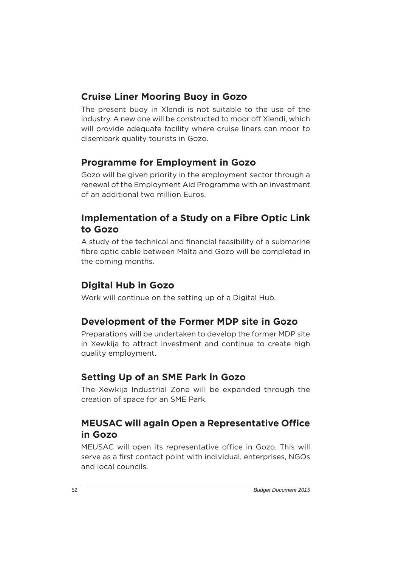### **Cruise Liner Mooring Buoy in Gozo**

The present buoy in Xlendi is not suitable to the use of the industry. A new one will be constructed to moor off Xlendi, which will provide adequate facility where cruise liners can moor to disembark quality tourists in Gozo.

#### **Programme for Employment in Gozo**

Gozo will be given priority in the employment sector through a renewal of the Employment Aid Programme with an investment of an additional two million Euros.

#### **Implementation of a Study on a Fibre Optic Link to Gozo**

A study of the technical and financial feasibility of a submarine fibre optic cable between Malta and Gozo will be completed in the coming months.

#### **Digital Hub in Gozo**

Work will continue on the setting up of a Digital Hub.

#### **Development of the Former MDP site in Gozo**

Preparations will be undertaken to develop the former MDP site in Xewkija to attract investment and continue to create high quality employment.

#### **Setting Up of an SME Park in Gozo**

The Xewkija Industrial Zone will be expanded through the creation of space for an SME Park.

#### **MEUSAC will again Open a Representative Office in Gozo**

MEUSAC will open its representative office in Gozo. This will serve as a first contact point with individual, enterprises, NGOs and local councils.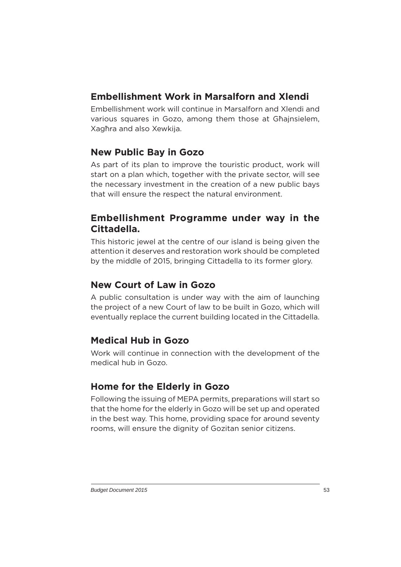# **Embellishment Work in Marsalforn and Xlendi**

Embellishment work will continue in Marsalforn and Xlendi and various squares in Gozo, among them those at Għajnsielem, Xagħra and also Xewkija.

# **New Public Bay in Gozo**

As part of its plan to improve the touristic product, work will start on a plan which, together with the private sector, will see the necessary investment in the creation of a new public bays that will ensure the respect the natural environment.

#### **Embellishment Programme under way in the Cittadella.**

This historic jewel at the centre of our island is being given the attention it deserves and restoration work should be completed by the middle of 2015, bringing Cittadella to its former glory.

#### **New Court of Law in Gozo**

A public consultation is under way with the aim of launching the project of a new Court of law to be built in Gozo, which will eventually replace the current building located in the Cittadella.

# **Medical Hub in Gozo**

Work will continue in connection with the development of the medical hub in Gozo.

# **Home for the Elderly in Gozo**

Following the issuing of MEPA permits, preparations will start so that the home for the elderly in Gozo will be set up and operated in the best way. This home, providing space for around seventy rooms, will ensure the dignity of Gozitan senior citizens.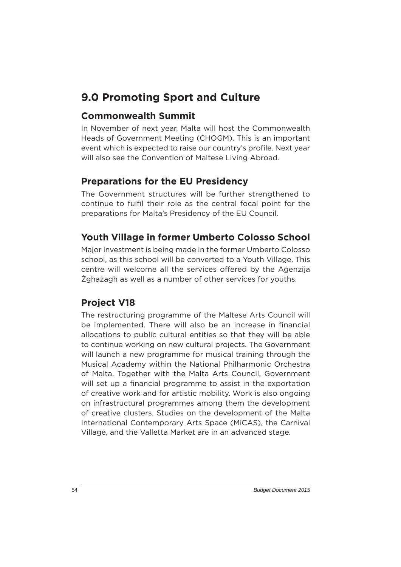# **9.0 Promoting Sport and Culture**

#### **Commonwealth Summit**

In November of next year, Malta will host the Commonwealth Heads of Government Meeting (CHOGM). This is an important event which is expected to raise our country's profile. Next year will also see the Convention of Maltese Living Abroad.

# **Preparations for the EU Presidency**

The Government structures will be further strengthened to continue to fulfil their role as the central focal point for the preparations for Malta's Presidency of the EU Council.

# **Youth Village in former Umberto Colosso School**

Major investment is being made in the former Umberto Colosso school, as this school will be converted to a Youth Village. This centre will welcome all the services offered by the Agenzija Żgħażagħ as well as a number of other services for youths.

# **Project V18**

The restructuring programme of the Maltese Arts Council will be implemented. There will also be an increase in financial allocations to public cultural entities so that they will be able to continue working on new cultural projects. The Government will launch a new programme for musical training through the Musical Academy within the National Philharmonic Orchestra of Malta. Together with the Malta Arts Council, Government will set up a financial programme to assist in the exportation of creative work and for artistic mobility. Work is also ongoing on infrastructural programmes among them the development of creative clusters. Studies on the development of the Malta International Contemporary Arts Space (MiCAS), the Carnival Village, and the Valletta Market are in an advanced stage.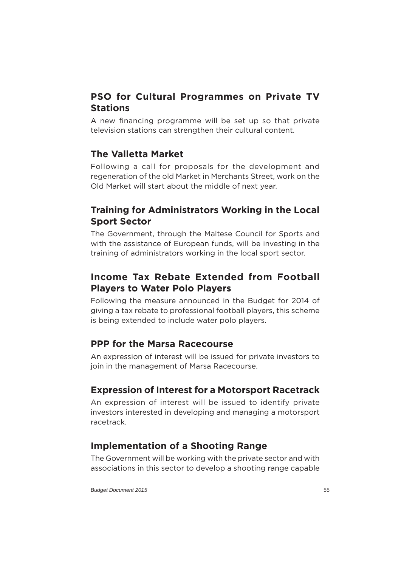# **PSO for Cultural Programmes on Private TV Stations**

A new financing programme will be set up so that private television stations can strengthen their cultural content.

#### **The Valletta Market**

Following a call for proposals for the development and regeneration of the old Market in Merchants Street, work on the Old Market will start about the middle of next year.

#### **Training for Administrators Working in the Local Sport Sector**

The Government, through the Maltese Council for Sports and with the assistance of European funds, will be investing in the training of administrators working in the local sport sector.

# **Income Tax Rebate Extended from Football Players to Water Polo Players**

Following the measure announced in the Budget for 2014 of giving a tax rebate to professional football players, this scheme is being extended to include water polo players.

#### **PPP for the Marsa Racecourse**

An expression of interest will be issued for private investors to join in the management of Marsa Racecourse.

#### **Expression of Interest for a Motorsport Racetrack**

An expression of interest will be issued to identify private investors interested in developing and managing a motorsport racetrack.

# **Implementation of a Shooting Range**

The Government will be working with the private sector and with associations in this sector to develop a shooting range capable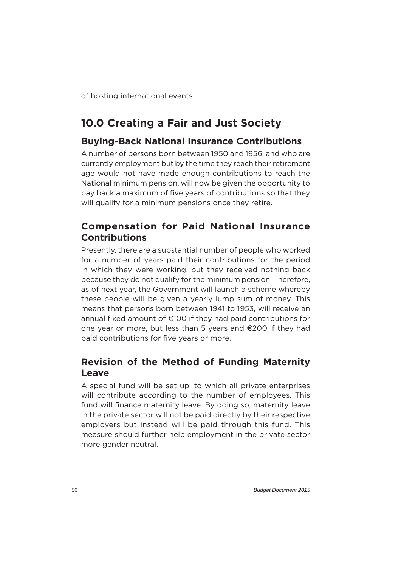of hosting international events.

# **10.0 Creating a Fair and Just Society**

# **Buying-Back National Insurance Contributions**

A number of persons born between 1950 and 1956, and who are currently employment but by the time they reach their retirement age would not have made enough contributions to reach the National minimum pension, will now be given the opportunity to pay back a maximum of five years of contributions so that they will qualify for a minimum pensions once they retire.

#### **Compensation for Paid National Insurance Contributions**

Presently, there are a substantial number of people who worked for a number of years paid their contributions for the period in which they were working, but they received nothing back because they do not qualify for the minimum pension. Therefore, as of next year, the Government will launch a scheme whereby these people will be given a yearly lump sum of money. This means that persons born between 1941 to 1953, will receive an annual fixed amount of  $E100$  if they had paid contributions for one year or more, but less than 5 years and  $\epsilon$ 200 if they had paid contributions for five years or more.

# **Revision of the Method of Funding Maternity Leave**

A special fund will be set up, to which all private enterprises will contribute according to the number of employees. This fund will finance maternity leave. By doing so, maternity leave in the private sector will not be paid directly by their respective employers but instead will be paid through this fund. This measure should further help employment in the private sector more gender neutral.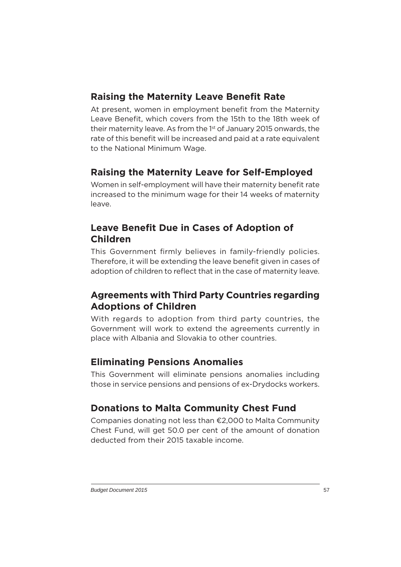# **Raising the Maternity Leave Benefit Rate**

At present, women in employment benefit from the Maternity Leave Benefit, which covers from the 15th to the 18th week of their maternity leave. As from the 1<sup>st</sup> of January 2015 onwards, the rate of this benefit will be increased and paid at a rate equivalent to the National Minimum Wage.

# **Raising the Maternity Leave for Self-Employed**

Women in self-employment will have their maternity benefit rate increased to the minimum wage for their 14 weeks of maternity leave.

# **Leave Benefit Due in Cases of Adoption of Children**

This Government firmly believes in family-friendly policies. Therefore, it will be extending the leave benefit given in cases of adoption of children to reflect that in the case of maternity leave.

# **Agreements with Third Party Countries regarding Adoptions of Children**

With regards to adoption from third party countries, the Government will work to extend the agreements currently in place with Albania and Slovakia to other countries.

# **Eliminating Pensions Anomalies**

This Government will eliminate pensions anomalies including those in service pensions and pensions of ex-Drydocks workers.

# **Donations to Malta Community Chest Fund**

Companies donating not less than €2,000 to Malta Community Chest Fund, will get 50.0 per cent of the amount of donation deducted from their 2015 taxable income.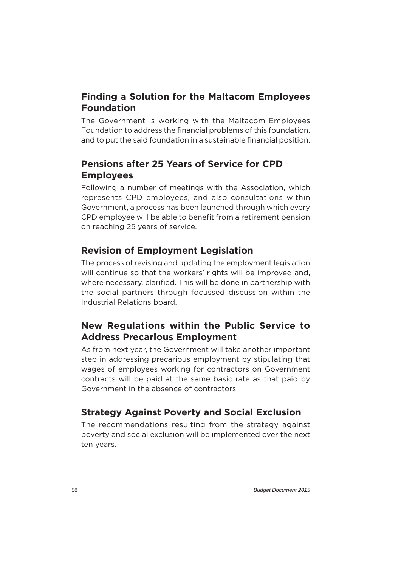# **Finding a Solution for the Maltacom Employees Foundation**

The Government is working with the Maltacom Employees Foundation to address the financial problems of this foundation, and to put the said foundation in a sustainable financial position.

# **Pensions after 25 Years of Service for CPD Employees**

Following a number of meetings with the Association, which represents CPD employees, and also consultations within Government, a process has been launched through which every CPD employee will be able to benefit from a retirement pension on reaching 25 years of service.

# **Revision of Employment Legislation**

The process of revising and updating the employment legislation will continue so that the workers' rights will be improved and, where necessary, clarified. This will be done in partnership with the social partners through focussed discussion within the Industrial Relations board.

# **New Regulations within the Public Service to Address Precarious Employment**

As from next year, the Government will take another important step in addressing precarious employment by stipulating that wages of employees working for contractors on Government contracts will be paid at the same basic rate as that paid by Government in the absence of contractors.

# **Strategy Against Poverty and Social Exclusion**

The recommendations resulting from the strategy against poverty and social exclusion will be implemented over the next ten years.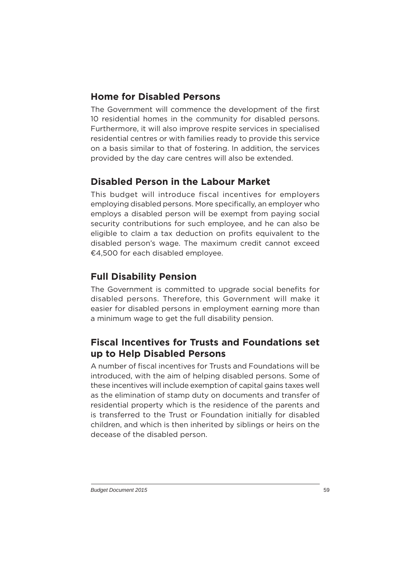# **Home for Disabled Persons**

The Government will commence the development of the first 10 residential homes in the community for disabled persons. Furthermore, it will also improve respite services in specialised residential centres or with families ready to provide this service on a basis similar to that of fostering. In addition, the services provided by the day care centres will also be extended.

# **Disabled Person in the Labour Market**

This budget will introduce fiscal incentives for employers employing disabled persons. More specifically, an employer who employs a disabled person will be exempt from paying social security contributions for such employee, and he can also be eligible to claim a tax deduction on profits equivalent to the disabled person's wage. The maximum credit cannot exceed €4,500 for each disabled employee.

# **Full Disability Pension**

The Government is committed to upgrade social benefits for disabled persons. Therefore, this Government will make it easier for disabled persons in employment earning more than a minimum wage to get the full disability pension.

# **Fiscal Incentives for Trusts and Foundations set up to Help Disabled Persons**

A number of fiscal incentives for Trusts and Foundations will be introduced, with the aim of helping disabled persons. Some of these incentives will include exemption of capital gains taxes well as the elimination of stamp duty on documents and transfer of residential property which is the residence of the parents and is transferred to the Trust or Foundation initially for disabled children, and which is then inherited by siblings or heirs on the decease of the disabled person.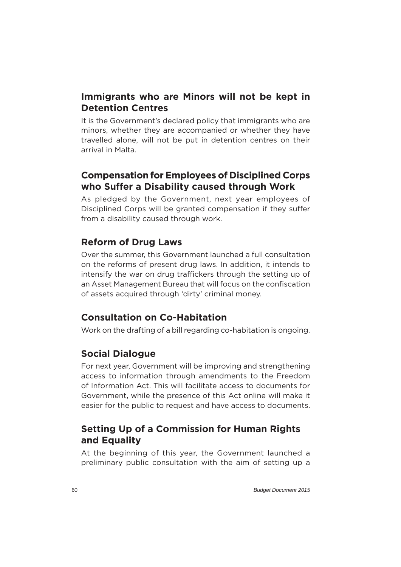### **Immigrants who are Minors will not be kept in Detention Centres**

It is the Government's declared policy that immigrants who are minors, whether they are accompanied or whether they have travelled alone, will not be put in detention centres on their arrival in Malta.

#### **Compensation for Employees of Disciplined Corps who Suffer a Disability caused through Work**

As pledged by the Government, next year employees of Disciplined Corps will be granted compensation if they suffer from a disability caused through work.

# **Reform of Drug Laws**

Over the summer, this Government launched a full consultation on the reforms of present drug laws. In addition, it intends to intensify the war on drug traffickers through the setting up of an Asset Management Bureau that will focus on the confiscation of assets acquired through 'dirty' criminal money.

# **Consultation on Co-Habitation**

Work on the drafting of a bill regarding co-habitation is ongoing.

# **Social Dialogue**

For next year, Government will be improving and strengthening access to information through amendments to the Freedom of Information Act. This will facilitate access to documents for Government, while the presence of this Act online will make it easier for the public to request and have access to documents.

# **Setting Up of a Commission for Human Rights and Equality**

At the beginning of this year, the Government launched a preliminary public consultation with the aim of setting up a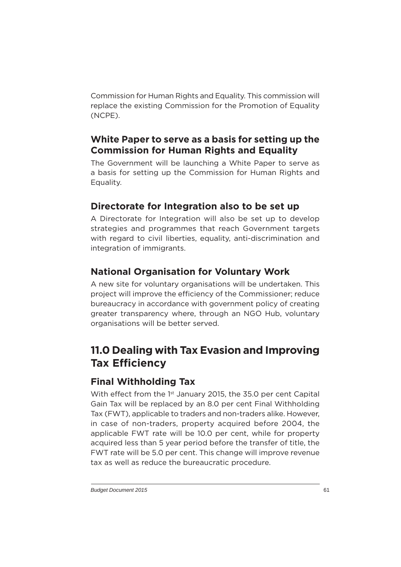Commission for Human Rights and Equality. This commission will replace the existing Commission for the Promotion of Equality (NCPE).

# **White Paper to serve as a basis for setting up the Commission for Human Rights and Equality**

The Government will be launching a White Paper to serve as a basis for setting up the Commission for Human Rights and Equality.

# **Directorate for Integration also to be set up**

A Directorate for Integration will also be set up to develop strategies and programmes that reach Government targets with regard to civil liberties, equality, anti-discrimination and integration of immigrants.

# **National Organisation for Voluntary Work**

A new site for voluntary organisations will be undertaken. This project will improve the efficiency of the Commissioner; reduce bureaucracy in accordance with government policy of creating greater transparency where, through an NGO Hub, voluntary organisations will be better served.

# **11.0 Dealing with Tax Evasion and Improving Tax Efficiency**

# **Final Withholding Tax**

With effect from the 1<sup>st</sup> January 2015, the 35.0 per cent Capital Gain Tax will be replaced by an 8.0 per cent Final Withholding Tax (FWT), applicable to traders and non-traders alike. However, in case of non-traders, property acquired before 2004, the applicable FWT rate will be 10.0 per cent, while for property acquired less than 5 year period before the transfer of title, the FWT rate will be 5.0 per cent. This change will improve revenue tax as well as reduce the bureaucratic procedure.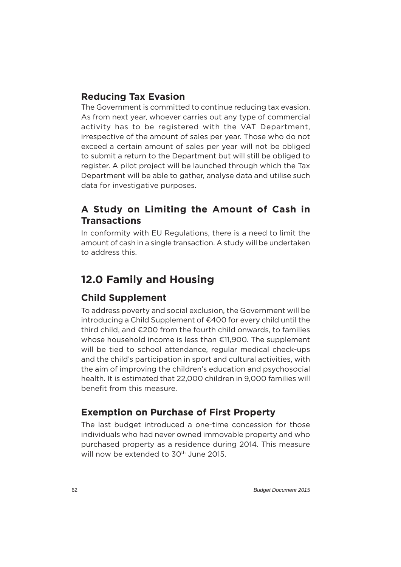### **Reducing Tax Evasion**

The Government is committed to continue reducing tax evasion. As from next year, whoever carries out any type of commercial activity has to be registered with the VAT Department, irrespective of the amount of sales per year. Those who do not exceed a certain amount of sales per year will not be obliged to submit a return to the Department but will still be obliged to register. A pilot project will be launched through which the Tax Department will be able to gather, analyse data and utilise such data for investigative purposes.

# **A Study on Limiting the Amount of Cash in Transactions**

In conformity with EU Regulations, there is a need to limit the amount of cash in a single transaction. A study will be undertaken to address this.

# **12.0 Family and Housing**

# **Child Supplement**

To address poverty and social exclusion, the Government will be introducing a Child Supplement of €400 for every child until the third child, and €200 from the fourth child onwards, to families whose household income is less than €11,900. The supplement will be tied to school attendance, regular medical check-ups and the child's participation in sport and cultural activities, with the aim of improving the children's education and psychosocial health. It is estimated that 22,000 children in 9,000 families will benefit from this measure.

# **Exemption on Purchase of First Property**

The last budget introduced a one-time concession for those individuals who had never owned immovable property and who purchased property as a residence during 2014. This measure will now be extended to 30<sup>th</sup> June 2015.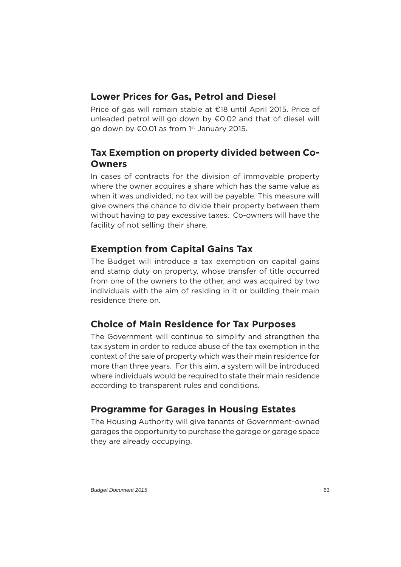#### **Lower Prices for Gas, Petrol and Diesel**

Price of gas will remain stable at €18 until April 2015. Price of unleaded petrol will go down by €0.02 and that of diesel will go down by €0.01 as from 1<sup>st</sup> January 2015.

#### **Tax Exemption on property divided between Co-Owners**

In cases of contracts for the division of immovable property where the owner acquires a share which has the same value as when it was undivided, no tax will be payable. This measure will give owners the chance to divide their property between them without having to pay excessive taxes. Co-owners will have the facility of not selling their share.

# **Exemption from Capital Gains Tax**

The Budget will introduce a tax exemption on capital gains and stamp duty on property, whose transfer of title occurred from one of the owners to the other, and was acquired by two individuals with the aim of residing in it or building their main residence there on.

# **Choice of Main Residence for Tax Purposes**

The Government will continue to simplify and strengthen the tax system in order to reduce abuse of the tax exemption in the context of the sale of property which was their main residence for more than three years. For this aim, a system will be introduced where individuals would be required to state their main residence according to transparent rules and conditions.

# **Programme for Garages in Housing Estates**

The Housing Authority will give tenants of Government-owned garages the opportunity to purchase the garage or garage space they are already occupying.